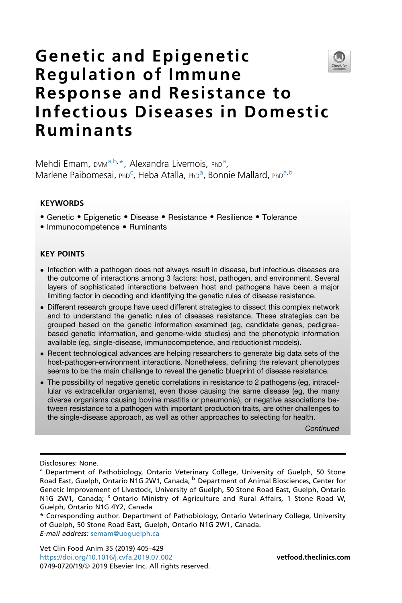

# Genetic and Epigenetic Regulation of Immune Response and Resistance to Infectious Diseases in Domestic Ruminants

Mehdi Emam, pywa,b,\*, Alexandra Livernois, Php<sup>a</sup>, Marlene Paibomesai, PhD<sup>c</sup>, Heba Atalla, PhD<sup>a</sup>, Bonnie Mallard, PhD<sup>a,b</sup>

# **KEYWORDS**

- Genetic Epigenetic Disease Resistance Resilience Tolerance
- Immunocompetence Ruminants

## KEY POINTS

- Infection with a pathogen does not always result in disease, but infectious diseases are the outcome of interactions among 3 factors: host, pathogen, and environment. Several layers of sophisticated interactions between host and pathogens have been a major limiting factor in decoding and identifying the genetic rules of disease resistance.
- Different research groups have used different strategies to dissect this complex network and to understand the genetic rules of diseases resistance. These strategies can be grouped based on the genetic information examined (eg, candidate genes, pedigreebased genetic information, and genome-wide studies) and the phenotypic information available (eg, single-disease, immunocompetence, and reductionist models).
- Recent technological advances are helping researchers to generate big data sets of the host-pathogen-environment interactions. Nonetheless, defining the relevant phenotypes seems to be the main challenge to reveal the genetic blueprint of disease resistance.
- The possibility of negative genetic correlations in resistance to 2 pathogens (eg, intracellular vs extracellular organisms), even those causing the same disease (eg, the many diverse organisms causing bovine mastitis or pneumonia), or negative associations between resistance to a pathogen with important production traits, are other challenges to the single-disease approach, as well as other approaches to selecting for health.

*Continued*

Vet Clin Food Anim 35 (2019) 405–429 <https://doi.org/10.1016/j.cvfa.2019.07.002> [vetfood.theclinics.com](http://vetfood.theclinics.com) 0749-0720/19/@ 2019 Elsevier Inc. All rights reserved.

Disclosures: None.

<sup>&</sup>lt;sup>a</sup> Department of Pathobiology, Ontario Veterinary College, University of Guelph, 50 Stone Road East, Guelph, Ontario N1G 2W1, Canada; <sup>b</sup> Department of Animal Biosciences, Center for Genetic Improvement of Livestock, University of Guelph, 50 Stone Road East, Guelph, Ontario N1G 2W1, Canada; <sup>c</sup> Ontario Ministry of Agriculture and Rural Affairs, 1 Stone Road W, Guelph, Ontario N1G 4Y2, Canada

<sup>\*</sup> Corresponding author. Department of Pathobiology, Ontario Veterinary College, University of Guelph, 50 Stone Road East, Guelph, Ontario N1G 2W1, Canada. E-mail address: [semam@uoguelph.ca](mailto:semam@uoguelph.ca)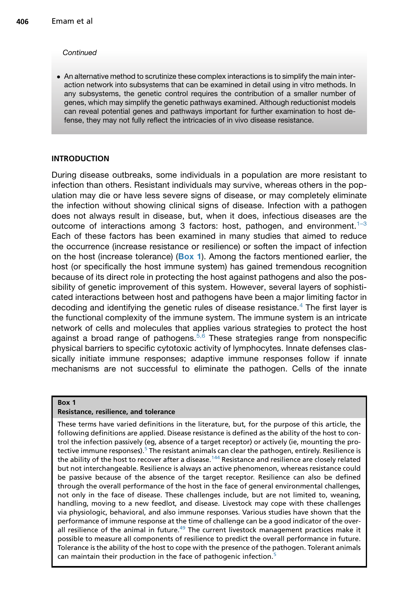#### <span id="page-1-0"></span>*Continued*

 An alternative method to scrutinize these complex interactions is to simplify the main interaction network into subsystems that can be examined in detail using in vitro methods. In any subsystems, the genetic control requires the contribution of a smaller number of genes, which may simplify the genetic pathways examined. Although reductionist models can reveal potential genes and pathways important for further examination to host defense, they may not fully reflect the intricacies of in vivo disease resistance.

#### INTRODUCTION

During disease outbreaks, some individuals in a population are more resistant to infection than others. Resistant individuals may survive, whereas others in the population may die or have less severe signs of disease, or may completely eliminate the infection without showing clinical signs of disease. Infection with a pathogen does not always result in disease, but, when it does, infectious diseases are the outcome of interactions among 3 factors: host, pathogen, and environment.<sup>1-3</sup> Each of these factors has been examined in many studies that aimed to reduce the occurrence (increase resistance or resilience) or soften the impact of infection on the host (increase tolerance) (Box 1). Among the factors mentioned earlier, the host (or specifically the host immune system) has gained tremendous recognition because of its direct role in protecting the host against pathogens and also the possibility of genetic improvement of this system. However, several layers of sophisticated interactions between host and pathogens have been a major limiting factor in decoding and identifying the genetic rules of disease resistance.<sup>[4](#page-15-0)</sup> The first layer is the functional complexity of the immune system. The immune system is an intricate network of cells and molecules that applies various strategies to protect the host against a broad range of pathogens.<sup>[5,6](#page-15-0)</sup> These strategies range from nonspecific physical barriers to specific cytotoxic activity of lymphocytes. Innate defenses classically initiate immune responses; adaptive immune responses follow if innate mechanisms are not successful to eliminate the pathogen. Cells of the innate

# Box 1

#### Resistance, resilience, and tolerance

These terms have varied definitions in the literature, but, for the purpose of this article, the following definitions are applied. Disease resistance is defined as the ability of the host to control the infection passively (eg, absence of a target receptor) or actively (ie, mounting the pro-tective immune responses).<sup>[5](#page-15-0)</sup> The resistant animals can clear the pathogen, entirely. Resilience is the ability of the host to recover after a disease.<sup>144</sup> Resistance and resilience are closely related but not interchangeable. Resilience is always an active phenomenon, whereas resistance could be passive because of the absence of the target receptor. Resilience can also be defined through the overall performance of the host in the face of general environmental challenges, not only in the face of disease. These challenges include, but are not limited to, weaning, handling, moving to a new feedlot, and disease. Livestock may cope with these challenges via physiologic, behavioral, and also immune responses. Various studies have shown that the performance of immune response at the time of challenge can be a good indicator of the over-all resilience of the animal in future.<sup>[49](#page-18-0)</sup> The current livestock management practices make it possible to measure all components of resilience to predict the overall performance in future. Tolerance is the ability of the host to cope with the presence of the pathogen. Tolerant animals can maintain their production in the face of pathogenic infection.<sup>[5](#page-15-0)</sup>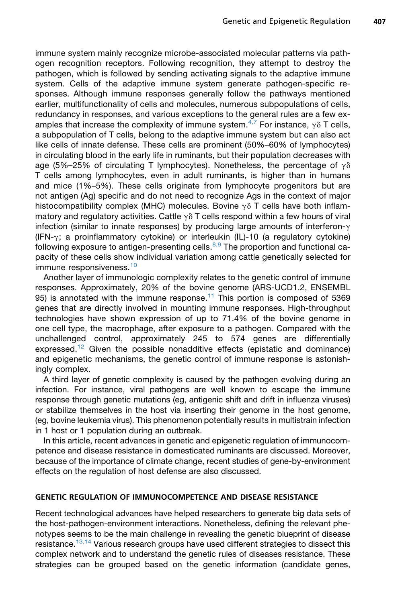immune system mainly recognize microbe-associated molecular patterns via pathogen recognition receptors. Following recognition, they attempt to destroy the pathogen, which is followed by sending activating signals to the adaptive immune system. Cells of the adaptive immune system generate pathogen-specific responses. Although immune responses generally follow the pathways mentioned earlier, multifunctionality of cells and molecules, numerous subpopulations of cells, redundancy in responses, and various exceptions to the general rules are a few ex-amples that increase the complexity of immune system.<sup>[4,7](#page-15-0)</sup> For instance,  $\gamma \delta$  T cells, a subpopulation of T cells, belong to the adaptive immune system but can also act like cells of innate defense. These cells are prominent (50%–60% of lymphocytes) in circulating blood in the early life in ruminants, but their population decreases with age (5%–25% of circulating T lymphocytes). Nonetheless, the percentage of  $\gamma\delta$ T cells among lymphocytes, even in adult ruminants, is higher than in humans and mice (1%–5%). These cells originate from lymphocyte progenitors but are not antigen (Ag) specific and do not need to recognize Ags in the context of major histocompatibility complex (MHC) molecules. Bovine  $\gamma \delta$  T cells have both inflammatory and regulatory activities. Cattle  $\gamma \delta$  T cells respond within a few hours of viral infection (similar to innate responses) by producing large amounts of interferon- $\gamma$ (IFN-g; a proinflammatory cytokine) or interleukin (IL)-10 (a regulatory cytokine) following exposure to antigen-presenting cells.<sup>[8,9](#page-15-0)</sup> The proportion and functional capacity of these cells show individual variation among cattle genetically selected for immune responsiveness.<sup>[10](#page-15-0)</sup>

Another layer of immunologic complexity relates to the genetic control of immune responses. Approximately, 20% of the bovine genome (ARS-UCD1.2, ENSEMBL 95) is annotated with the immune response.<sup>[11](#page-15-0)</sup> This portion is composed of 5369 genes that are directly involved in mounting immune responses. High-throughput technologies have shown expression of up to 71.4% of the bovine genome in one cell type, the macrophage, after exposure to a pathogen. Compared with the unchallenged control, approximately 245 to 574 genes are differentially expressed.<sup>[12](#page-16-0)</sup> Given the possible nonadditive effects (epistatic and dominance) and epigenetic mechanisms, the genetic control of immune response is astonishingly complex.

A third layer of genetic complexity is caused by the pathogen evolving during an infection. For instance, viral pathogens are well known to escape the immune response through genetic mutations (eg, antigenic shift and drift in influenza viruses) or stabilize themselves in the host via inserting their genome in the host genome, (eg, bovine leukemia virus). This phenomenon potentially results in multistrain infection in 1 host or 1 population during an outbreak.

In this article, recent advances in genetic and epigenetic regulation of immunocompetence and disease resistance in domesticated ruminants are discussed. Moreover, because of the importance of climate change, recent studies of gene-by-environment effects on the regulation of host defense are also discussed.

#### GENETIC REGULATION OF IMMUNOCOMPETENCE AND DISEASE RESISTANCE

Recent technological advances have helped researchers to generate big data sets of the host-pathogen-environment interactions. Nonetheless, defining the relevant phenotypes seems to be the main challenge in revealing the genetic blueprint of disease resistance.<sup>[13,14](#page-16-0)</sup> Various research groups have used different strategies to dissect this complex network and to understand the genetic rules of diseases resistance. These strategies can be grouped based on the genetic information (candidate genes,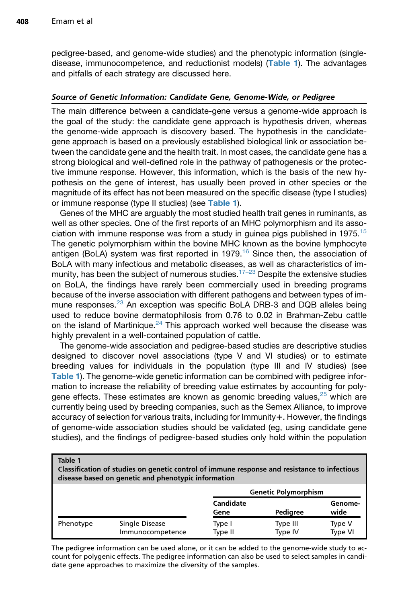pedigree-based, and genome-wide studies) and the phenotypic information (singledisease, immunocompetence, and reductionist models) (Table 1). The advantages and pitfalls of each strategy are discussed here.

# Source of Genetic Information: Candidate Gene, Genome-Wide, or Pedigree

The main difference between a candidate-gene versus a genome-wide approach is the goal of the study: the candidate gene approach is hypothesis driven, whereas the genome-wide approach is discovery based. The hypothesis in the candidategene approach is based on a previously established biological link or association between the candidate gene and the health trait. In most cases, the candidate gene has a strong biological and well-defined role in the pathway of pathogenesis or the protective immune response. However, this information, which is the basis of the new hypothesis on the gene of interest, has usually been proved in other species or the magnitude of its effect has not been measured on the specific disease (type I studies) or immune response (type II studies) (see Table 1).

Genes of the MHC are arguably the most studied health trait genes in ruminants, as well as other species. One of the first reports of an MHC polymorphism and its asso-ciation with immune response was from a study in guinea pigs published in 1975.<sup>[15](#page-16-0)</sup> The genetic polymorphism within the bovine MHC known as the bovine lymphocyte antigen (BoLA) system was first reported in 1979. $16$  Since then, the association of BoLA with many infectious and metabolic diseases, as well as characteristics of immunity, has been the subject of numerous studies. $17-23$  Despite the extensive studies on BoLA, the findings have rarely been commercially used in breeding programs because of the inverse association with different pathogens and between types of im-mune responses.<sup>[23](#page-16-0)</sup> An exception was specific BoLA DRB-3 and DQB alleles being used to reduce bovine dermatophilosis from 0.76 to 0.02 in Brahman-Zebu cattle on the island of Martinique. $24$  This approach worked well because the disease was highly prevalent in a well-contained population of cattle.

The genome-wide association and pedigree-based studies are descriptive studies designed to discover novel associations (type V and VI studies) or to estimate breeding values for individuals in the population (type III and IV studies) (see Table 1). The genome-wide genetic information can be combined with pedigree information to increase the reliability of breeding value estimates by accounting for polygene effects. These estimates are known as genomic breeding values, $25$  which are currently being used by breeding companies, such as the Semex Alliance, to improve accuracy of selection for various traits, including for Immunity+. However, the findings of genome-wide association studies should be validated (eg, using candidate gene studies), and the findings of pedigree-based studies only hold within the population

| Table 1<br>Classification of studies on genetic control of immune response and resistance to infectious<br>disease based on genetic and phenotypic information |                                    |                             |                     |                          |  |  |  |  |
|----------------------------------------------------------------------------------------------------------------------------------------------------------------|------------------------------------|-----------------------------|---------------------|--------------------------|--|--|--|--|
|                                                                                                                                                                |                                    | <b>Genetic Polymorphism</b> |                     |                          |  |  |  |  |
|                                                                                                                                                                |                                    | Candidate<br>Gene           | Pedigree            | Genome-<br>wide          |  |  |  |  |
| Phenotype                                                                                                                                                      | Single Disease<br>Immunocompetence | Type I<br>Type II           | Type III<br>Type IV | Type V<br><b>Type VI</b> |  |  |  |  |

The pedigree information can be used alone, or it can be added to the genome-wide study to account for polygenic effects. The pedigree information can also be used to select samples in candidate gene approaches to maximize the diversity of the samples.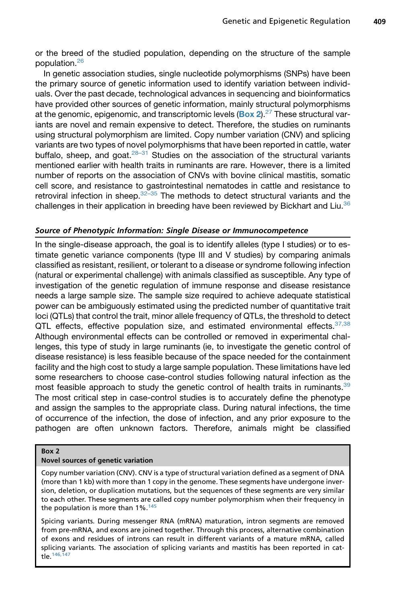or the breed of the studied population, depending on the structure of the sample population.[26](#page-16-0)

In genetic association studies, single nucleotide polymorphisms (SNPs) have been the primary source of genetic information used to identify variation between individuals. Over the past decade, technological advances in sequencing and bioinformatics have provided other sources of genetic information, mainly structural polymorphisms at the genomic, epigenomic, and transcriptomic levels (Box 2).<sup>[27](#page-16-0)</sup> These structural variants are novel and remain expensive to detect. Therefore, the studies on ruminants using structural polymorphism are limited. Copy number variation (CNV) and splicing variants are two types of novel polymorphisms that have been reported in cattle, water buffalo. sheep, and goat. $28-31$  Studies on the association of the structural variants mentioned earlier with health traits in ruminants are rare. However, there is a limited number of reports on the association of CNVs with bovine clinical mastitis, somatic cell score, and resistance to gastrointestinal nematodes in cattle and resistance to retroviral infection in sheep. $32-35$  The methods to detect structural variants and the challenges in their application in breeding have been reviewed by Bickhart and Liu.<sup>36</sup>

## Source of Phenotypic Information: Single Disease or Immunocompetence

In the single-disease approach, the goal is to identify alleles (type I studies) or to estimate genetic variance components (type III and V studies) by comparing animals classified as resistant, resilient, or tolerant to a disease or syndrome following infection (natural or experimental challenge) with animals classified as susceptible. Any type of investigation of the genetic regulation of immune response and disease resistance needs a large sample size. The sample size required to achieve adequate statistical power can be ambiguously estimated using the predicted number of quantitative trait loci (QTLs) that control the trait, minor allele frequency of QTLs, the threshold to detect  $QTL$  effects, effective population size, and estimated environmental effects.  $37,38$ Although environmental effects can be controlled or removed in experimental challenges, this type of study in large ruminants (ie, to investigate the genetic control of disease resistance) is less feasible because of the space needed for the containment facility and the high cost to study a large sample population. These limitations have led some researchers to choose case-control studies following natural infection as the most feasible approach to study the genetic control of health traits in ruminants.<sup>[39](#page-17-0)</sup> The most critical step in case-control studies is to accurately define the phenotype and assign the samples to the appropriate class. During natural infections, the time of occurrence of the infection, the dose of infection, and any prior exposure to the pathogen are often unknown factors. Therefore, animals might be classified

#### Box 2

#### Novel sources of genetic variation

Copy number variation (CNV). CNV is a type of structural variation defined as a segment of DNA (more than 1 kb) with more than 1 copy in the genome. These segments have undergone inversion, deletion, or duplication mutations, but the sequences of these segments are very similar to each other. These segments are called copy number polymorphism when their frequency in the population is more than  $1\%$ .<sup>[145](#page-23-0)</sup>

Spicing variants. During messenger RNA (mRNA) maturation, intron segments are removed from pre-mRNA, and exons are joined together. Through this process, alternative combination of exons and residues of introns can result in different variants of a mature mRNA, called splicing variants. The association of splicing variants and mastitis has been reported in cattle.[146,147](#page-23-0)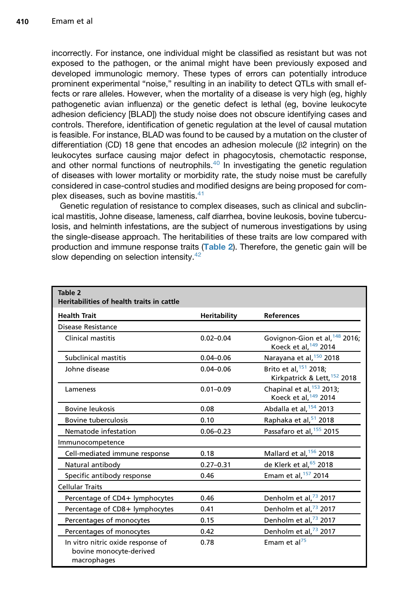<span id="page-5-0"></span>incorrectly. For instance, one individual might be classified as resistant but was not exposed to the pathogen, or the animal might have been previously exposed and developed immunologic memory. These types of errors can potentially introduce prominent experimental "noise," resulting in an inability to detect QTLs with small effects or rare alleles. However, when the mortality of a disease is very high (eg, highly pathogenetic avian influenza) or the genetic defect is lethal (eg, bovine leukocyte adhesion deficiency [BLAD]) the study noise does not obscure identifying cases and controls. Therefore, identification of genetic regulation at the level of causal mutation is feasible. For instance, BLAD was found to be caused by a mutation on the cluster of differentiation (CD) 18 gene that encodes an adhesion molecule ( $\beta$ 2 integrin) on the leukocytes surface causing major defect in phagocytosis, chemotactic response, and other normal functions of neutrophils.<sup>[40](#page-17-0)</sup> In investigating the genetic regulation of diseases with lower mortality or morbidity rate, the study noise must be carefully considered in case-control studies and modified designs are being proposed for com-plex diseases, such as bovine mastitis.<sup>[41](#page-17-0)</sup>

Genetic regulation of resistance to complex diseases, such as clinical and subclinical mastitis, Johne disease, lameness, calf diarrhea, bovine leukosis, bovine tuberculosis, and helminth infestations, are the subject of numerous investigations by using the single-disease approach. The heritabilities of these traits are low compared with production and immune response traits (Table 2). Therefore, the genetic gain will be slow depending on selection intensity.<sup>[42](#page-17-0)</sup>

| Table 2<br>Heritabilities of health traits in cattle                        |                     |                                                                               |  |  |  |  |
|-----------------------------------------------------------------------------|---------------------|-------------------------------------------------------------------------------|--|--|--|--|
| <b>Health Trait</b>                                                         | <b>Heritability</b> | <b>References</b>                                                             |  |  |  |  |
| Disease Resistance                                                          |                     |                                                                               |  |  |  |  |
| <b>Clinical mastitis</b>                                                    | $0.02 - 0.04$       | Govignon-Gion et al, <sup>148</sup> 2016;<br>Koeck et al, <sup>149</sup> 2014 |  |  |  |  |
| Subclinical mastitis                                                        | $0.04 - 0.06$       | Narayana et al, 150 2018                                                      |  |  |  |  |
| Johne disease                                                               | $0.04 - 0.06$       | Brito et al, <sup>151</sup> 2018;<br>Kirkpatrick & Lett, 152 2018             |  |  |  |  |
| Lameness                                                                    | $0.01 - 0.09$       | Chapinal et al, <sup>153</sup> 2013;<br>Koeck et al, <sup>149</sup> 2014      |  |  |  |  |
| <b>Bovine leukosis</b>                                                      | 0.08                | Abdalla et al, 154 2013                                                       |  |  |  |  |
| <b>Bovine tuberculosis</b>                                                  | 0.10                | Raphaka et al, 51 2018                                                        |  |  |  |  |
| Nematode infestation                                                        | $0.06 - 0.23$       | Passafaro et al, 155 2015                                                     |  |  |  |  |
| Immunocompetence                                                            |                     |                                                                               |  |  |  |  |
| Cell-mediated immune response                                               | 0.18                | Mallard et al, <sup>156</sup> 2018                                            |  |  |  |  |
| Natural antibody                                                            | $0.27 - 0.31$       | de Klerk et al, 65 2018                                                       |  |  |  |  |
| Specific antibody response                                                  | 0.46                | Emam et al, 157 2014                                                          |  |  |  |  |
| <b>Cellular Traits</b>                                                      |                     |                                                                               |  |  |  |  |
| Percentage of CD4+ lymphocytes                                              | 0.46                | Denholm et al, <sup>73</sup> 2017                                             |  |  |  |  |
| Percentage of CD8+ lymphocytes                                              | 0.41                | Denholm et al, <sup>73</sup> 2017                                             |  |  |  |  |
| Percentages of monocytes                                                    | 0.15                | Denholm et al, <sup>73</sup> 2017                                             |  |  |  |  |
| Percentages of monocytes                                                    | 0.42                | Denholm et al, <sup>73</sup> 2017                                             |  |  |  |  |
| In vitro nitric oxide response of<br>bovine monocyte-derived<br>macrophages | 0.78                | Emam et al $^{75}$                                                            |  |  |  |  |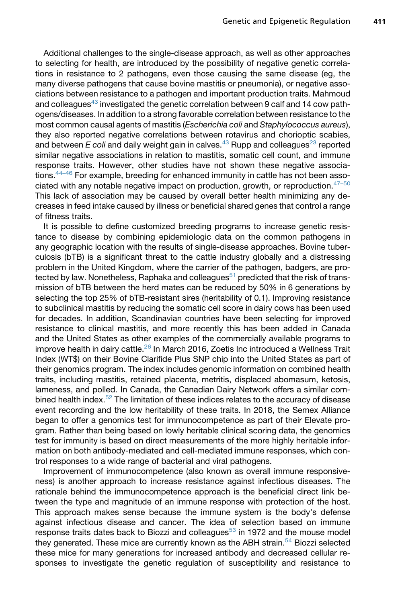Additional challenges to the single-disease approach, as well as other approaches to selecting for health, are introduced by the possibility of negative genetic correlations in resistance to 2 pathogens, even those causing the same disease (eg, the many diverse pathogens that cause bovine mastitis or pneumonia), or negative associations between resistance to a pathogen and important production traits. Mahmoud and colleagues<sup>[43](#page-17-0)</sup> investigated the genetic correlation between 9 calf and 14 cow pathogens/diseases. In addition to a strong favorable correlation between resistance to the most common causal agents of mastitis (*Escherichia coli* and *Staphylococcus aureus*), they also reported negative correlations between rotavirus and chorioptic scabies, and between *E coli* and daily weight gain in calves.<sup>[43](#page-17-0)</sup> Rupp and colleagues<sup>[23](#page-16-0)</sup> reported similar negative associations in relation to mastitis, somatic cell count, and immune response traits. However, other studies have not shown these negative associa-tions.<sup>[44–46](#page-17-0)</sup> For example, breeding for enhanced immunity in cattle has not been associated with any notable negative impact on production, growth, or reproduction.  $47-50$ This lack of association may be caused by overall better health minimizing any decreases in feed intake caused by illness or beneficial shared genes that control a range of fitness traits.

It is possible to define customized breeding programs to increase genetic resistance to disease by combining epidemiologic data on the common pathogens in any geographic location with the results of single-disease approaches. Bovine tuberculosis (bTB) is a significant threat to the cattle industry globally and a distressing problem in the United Kingdom, where the carrier of the pathogen, badgers, are pro-tected by law. Nonetheless, Raphaka and colleagues<sup>[51](#page-18-0)</sup> predicted that the risk of transmission of bTB between the herd mates can be reduced by 50% in 6 generations by selecting the top 25% of bTB-resistant sires (heritability of 0.1). Improving resistance to subclinical mastitis by reducing the somatic cell score in dairy cows has been used for decades. In addition, Scandinavian countries have been selecting for improved resistance to clinical mastitis, and more recently this has been added in Canada and the United States as other examples of the commercially available programs to improve health in dairy cattle.<sup>[26](#page-16-0)</sup> In March 2016, Zoetis Inc introduced a Wellness Trait Index (WT\$) on their Bovine Clarifide Plus SNP chip into the United States as part of their genomics program. The index includes genomic information on combined health traits, including mastitis, retained placenta, metritis, displaced abomasum, ketosis, lameness, and polled. In Canada, the Canadian Dairy Network offers a similar com-bined health index.<sup>[52](#page-18-0)</sup> The limitation of these indices relates to the accuracy of disease event recording and the low heritability of these traits. In 2018, the Semex Alliance began to offer a genomics test for immunocompetence as part of their Elevate program. Rather than being based on lowly heritable clinical scoring data, the genomics test for immunity is based on direct measurements of the more highly heritable information on both antibody-mediated and cell-mediated immune responses, which control responses to a wide range of bacterial and viral pathogens.

Improvement of immunocompetence (also known as overall immune responsiveness) is another approach to increase resistance against infectious diseases. The rationale behind the immunocompetence approach is the beneficial direct link between the type and magnitude of an immune response with protection of the host. This approach makes sense because the immune system is the body's defense against infectious disease and cancer. The idea of selection based on immune response traits dates back to Biozzi and colleagues $53$  in 1972 and the mouse model they generated. These mice are currently known as the ABH strain.<sup>[54](#page-18-0)</sup> Biozzi selected these mice for many generations for increased antibody and decreased cellular responses to investigate the genetic regulation of susceptibility and resistance to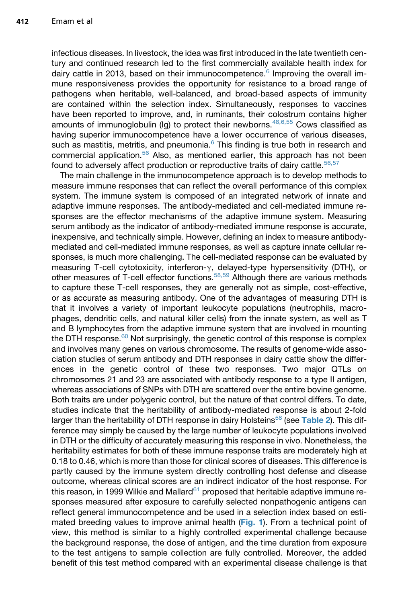infectious diseases. In livestock, the idea was first introduced in the late twentieth century and continued research led to the first commercially available health index for dairy cattle in 2013, based on their immunocompetence.<sup>[6](#page-15-0)</sup> Improving the overall immune responsiveness provides the opportunity for resistance to a broad range of pathogens when heritable, well-balanced, and broad-based aspects of immunity are contained within the selection index. Simultaneously, responses to vaccines have been reported to improve, and, in ruminants, their colostrum contains higher amounts of immunoglobulin (Ig) to protect their newborns.  $48,6,55$  Cows classified as having superior immunocompetence have a lower occurrence of various diseases, such as mastitis, metritis, and pneumonia.<sup>[6](#page-15-0)</sup> This finding is true both in research and commercial application. $56$  Also, as mentioned earlier, this approach has not been found to adversely affect production or reproductive traits of dairy cattle.<sup>[56,57](#page-18-0)</sup>

The main challenge in the immunocompetence approach is to develop methods to measure immune responses that can reflect the overall performance of this complex system. The immune system is composed of an integrated network of innate and adaptive immune responses. The antibody-mediated and cell-mediated immune responses are the effector mechanisms of the adaptive immune system. Measuring serum antibody as the indicator of antibody-mediated immune response is accurate, inexpensive, and technically simple. However, defining an index to measure antibodymediated and cell-mediated immune responses, as well as capture innate cellular responses, is much more challenging. The cell-mediated response can be evaluated by measuring T-cell cytotoxicity, interferon- $\gamma$ , delayed-type hypersensitivity (DTH), or other measures of T-cell effector functions.[58,59](#page-18-0) Although there are various methods to capture these T-cell responses, they are generally not as simple, cost-effective, or as accurate as measuring antibody. One of the advantages of measuring DTH is that it involves a variety of important leukocyte populations (neutrophils, macrophages, dendritic cells, and natural killer cells) from the innate system, as well as T and B lymphocytes from the adaptive immune system that are involved in mounting the DTH response. $60$  Not surprisingly, the genetic control of this response is complex and involves many genes on various chromosome. The results of genome-wide association studies of serum antibody and DTH responses in dairy cattle show the differences in the genetic control of these two responses. Two major QTLs on chromosomes 21 and 23 are associated with antibody response to a type II antigen, whereas associations of SNPs with DTH are scattered over the entire bovine genome. Both traits are under polygenic control, but the nature of that control differs. To date, studies indicate that the heritability of antibody-mediated response is about 2-fold larger than the heritability of DTH response in dairy Holsteins<sup>[58](#page-18-0)</sup> (see [Table 2](#page-5-0)). This difference may simply be caused by the large number of leukocyte populations involved in DTH or the difficulty of accurately measuring this response in vivo. Nonetheless, the heritability estimates for both of these immune response traits are moderately high at 0.18 to 0.46, which is more than those for clinical scores of diseases. This difference is partly caused by the immune system directly controlling host defense and disease outcome, whereas clinical scores are an indirect indicator of the host response. For this reason, in 1999 Wilkie and Mallard<sup>[61](#page-18-0)</sup> proposed that heritable adaptive immune responses measured after exposure to carefully selected nonpathogenic antigens can reflect general immunocompetence and be used in a selection index based on esti-mated breeding values to improve animal health ([Fig. 1](#page-8-0)). From a technical point of view, this method is similar to a highly controlled experimental challenge because the background response, the dose of antigen, and the time duration from exposure to the test antigens to sample collection are fully controlled. Moreover, the added benefit of this test method compared with an experimental disease challenge is that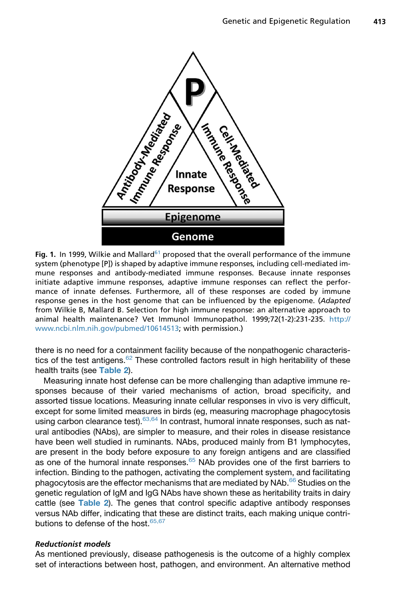<span id="page-8-0"></span>

Fig. 1. In 1999, Wilkie and Mallard<sup>61</sup> proposed that the overall performance of the immune system (phenotype [P]) is shaped by adaptive immune responses, including cell-mediated immune responses and antibody-mediated immune responses. Because innate responses initiate adaptive immune responses, adaptive immune responses can reflect the performance of innate defenses. Furthermore, all of these responses are coded by immune response genes in the host genome that can be influenced by the epigenome. (Adapted from Wilkie B, Mallard B. Selection for high immune response: an alternative approach to animal health maintenance? Vet Immunol Immunopathol. 1999;72(1-2):231-235. [http://](http://www.ncbi.nlm.nih.gov/pubmed/10614513) [www.ncbi.nlm.nih.gov/pubmed/10614513](http://www.ncbi.nlm.nih.gov/pubmed/10614513); with permission.)

there is no need for a containment facility because of the nonpathogenic characteristics of the test antigens. $62$  These controlled factors result in high heritability of these health traits (see [Table 2](#page-5-0)).

Measuring innate host defense can be more challenging than adaptive immune responses because of their varied mechanisms of action, broad specificity, and assorted tissue locations. Measuring innate cellular responses in vivo is very difficult, except for some limited measures in birds (eg, measuring macrophage phagocytosis using carbon clearance test). <sup>[63,64](#page-18-0)</sup> In contrast, humoral innate responses, such as natural antibodies (NAbs), are simpler to measure, and their roles in disease resistance have been well studied in ruminants. NAbs, produced mainly from B1 lymphocytes, are present in the body before exposure to any foreign antigens and are classified as one of the humoral innate responses.<sup>[65](#page-19-0)</sup> NAb provides one of the first barriers to infection. Binding to the pathogen, activating the complement system, and facilitating phagocytosis are the effector mechanisms that are mediated by NAb. $^{66}$  $^{66}$  $^{66}$  Studies on the genetic regulation of IgM and IgG NAbs have shown these as heritability traits in dairy cattle (see [Table 2](#page-5-0)). The genes that control specific adaptive antibody responses versus NAb differ, indicating that these are distinct traits, each making unique contributions to defense of the host.<sup>65,67</sup>

# Reductionist models

As mentioned previously, disease pathogenesis is the outcome of a highly complex set of interactions between host, pathogen, and environment. An alternative method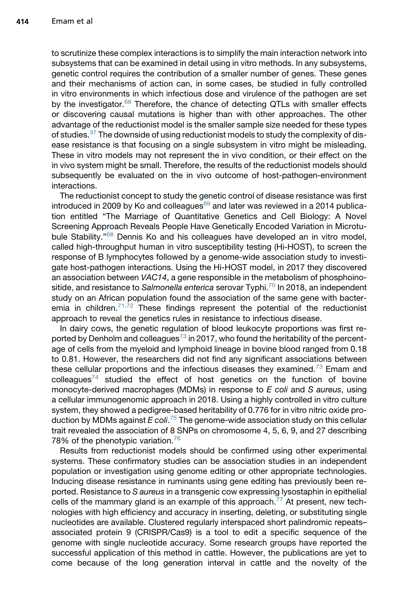to scrutinize these complex interactions is to simplify the main interaction network into subsystems that can be examined in detail using in vitro methods. In any subsystems, genetic control requires the contribution of a smaller number of genes. These genes and their mechanisms of action can, in some cases, be studied in fully controlled in vitro environments in which infectious dose and virulence of the pathogen are set by the investigator. $68$  Therefore, the chance of detecting QTLs with smaller effects or discovering causal mutations is higher than with other approaches. The other advantage of the reductionist model is the smaller sample size needed for these types of studies.<sup>[37](#page-17-0)</sup> The downside of using reductionist models to study the complexity of disease resistance is that focusing on a single subsystem in vitro might be misleading. These in vitro models may not represent the in vivo condition, or their effect on the in vivo system might be small. Therefore, the results of the reductionist models should subsequently be evaluated on the in vivo outcome of host-pathogen-environment interactions.

The reductionist concept to study the genetic control of disease resistance was first introduced in 2009 by Ko and colleagues $^{69}$  $^{69}$  $^{69}$  and later was reviewed in a 2014 publication entitled "The Marriage of Quantitative Genetics and Cell Biology: A Novel Screening Approach Reveals People Have Genetically Encoded Variation in Microtubule Stability."[68](#page-19-0) Dennis Ko and his colleagues have developed an in vitro model, called high-throughput human in vitro susceptibility testing (Hi-HOST), to screen the response of B lymphocytes followed by a genome-wide association study to investigate host-pathogen interactions. Using the Hi-HOST model, in 2017 they discovered an association between *VAC14*, a gene responsible in the metabolism of phosphoinositide, and resistance to *Salmonella enterica* serovar Typhi.<sup>[70](#page-19-0)</sup> In 2018, an independent study on an African population found the association of the same gene with bacter-emia in children.<sup>[71,72](#page-19-0)</sup> These findings represent the potential of the reductionist approach to reveal the genetics rules in resistance to infectious disease.

In dairy cows, the genetic regulation of blood leukocyte proportions was first re-ported by Denholm and colleagues<sup>[73](#page-19-0)</sup> in 2017, who found the heritability of the percentage of cells from the myeloid and lymphoid lineage in bovine blood ranged from 0.18 to 0.81. However, the researchers did not find any significant associations between these cellular proportions and the infectious diseases they examined.<sup>[73](#page-19-0)</sup> Emam and  $colleagues<sup>74</sup>$  $colleagues<sup>74</sup>$  $colleagues<sup>74</sup>$  studied the effect of host genetics on the function of bovine monocyte-derived macrophages (MDMs) in response to *E coli* and *S aureus*, using a cellular immunogenomic approach in 2018. Using a highly controlled in vitro culture system, they showed a pedigree-based heritability of 0.776 for in vitro nitric oxide production by MDMs against *E coli*. [75](#page-19-0) The genome-wide association study on this cellular trait revealed the association of 8 SNPs on chromosome 4, 5, 6, 9, and 27 describing 78% of the phenotypic variation.<sup>[76](#page-19-0)</sup>

Results from reductionist models should be confirmed using other experimental systems. These confirmatory studies can be association studies in an independent population or investigation using genome editing or other appropriate technologies. Inducing disease resistance in ruminants using gene editing has previously been reported. Resistance to *S aureus* in a transgenic cow expressing lysostaphin in epithelial cells of the mammary gland is an example of this approach.<sup>[77](#page-19-0)</sup> At present, new technologies with high efficiency and accuracy in inserting, deleting, or substituting single nucleotides are available. Clustered regularly interspaced short palindromic repeats– associated protein 9 (CRISPR/Cas9) is a tool to edit a specific sequence of the genome with single nucleotide accuracy. Some research groups have reported the successful application of this method in cattle. However, the publications are yet to come because of the long generation interval in cattle and the novelty of the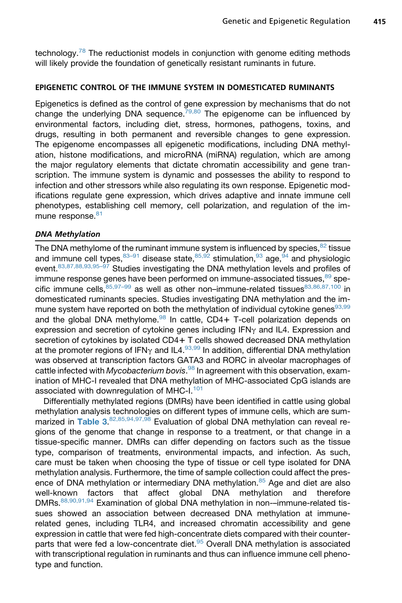technology.<sup>[78](#page-19-0)</sup> The reductionist models in conjunction with genome editing methods will likely provide the foundation of genetically resistant ruminants in future.

## EPIGENETIC CONTROL OF THE IMMUNE SYSTEM IN DOMESTICATED RUMINANTS

Epigenetics is defined as the control of gene expression by mechanisms that do not change the underlying DNA sequence.<sup>[79,80](#page-19-0)</sup> The epigenome can be influenced by environmental factors, including diet, stress, hormones, pathogens, toxins, and drugs, resulting in both permanent and reversible changes to gene expression. The epigenome encompasses all epigenetic modifications, including DNA methylation, histone modifications, and microRNA (miRNA) regulation, which are among the major regulatory elements that dictate chromatin accessibility and gene transcription. The immune system is dynamic and possesses the ability to respond to infection and other stressors while also regulating its own response. Epigenetic modifications regulate gene expression, which drives adaptive and innate immune cell phenotypes, establishing cell memory, cell polarization, and regulation of the im-mune response.<sup>[81](#page-19-0)</sup>

## DNA Methylation

The DNA methylome of the ruminant immune system is influenced by species,  $82$  tissue and immune cell types,  $83-91$  disease state,  $85,92$  stimulation,  $93$  age,  $94$  and physiologic event.<sup>83,87,88,93,95–97</sup> Studies investigating the DNA methylation levels and profiles of immune response genes have been performed on immune-associated tissues, [89](#page-20-0) specific immune cells,  $85,97-99$  as well as other non–immune-related tissues  $83,86,87,100$  in domesticated ruminants species. Studies investigating DNA methylation and the im-mune system have reported on both the methylation of individual cytokine genes<sup>[93,99](#page-20-0)</sup> and the global DNA methylome. $98$  In cattle, CD4+ T-cell polarization depends on expression and secretion of cytokine genes including IFN $\gamma$  and IL4. Expression and secretion of cytokines by isolated CD4+ T cells showed decreased DNA methylation at the promoter regions of IFN $\gamma$  and IL4.<sup>[93,99](#page-20-0)</sup> In addition, differential DNA methylation was observed at transcription factors GATA3 and RORC in alveolar macrophages of cattle infected with *Mycobacterium bovis*. [98](#page-20-0) In agreement with this observation, examination of MHC-I revealed that DNA methylation of MHC-associated CpG islands are associated with downregulation of MHC-I.<sup>[101](#page-21-0)</sup>

Differentially methylated regions (DMRs) have been identified in cattle using global methylation analysis technologies on different types of immune cells, which are sum-marized in [Table 3](#page-11-0).<sup>[82,85,94,97,98](#page-20-0)</sup> Evaluation of global DNA methylation can reveal re-<br>gions of the genome that change in response to a treatment, or that change in a gions of the genome that change in response to a treatment, or that change in a tissue-specific manner. DMRs can differ depending on factors such as the tissue type, comparison of treatments, environmental impacts, and infection. As such, care must be taken when choosing the type of tissue or cell type isolated for DNA methylation analysis. Furthermore, the time of sample collection could affect the pres-ence of DNA methylation or intermediary DNA methylation.<sup>[85](#page-20-0)</sup> Age and diet are also well-known factors that affect global DNA methylation and therefore DMRs[.88,90,91,94](#page-20-0) Examination of global DNA methylation in non-–immune-related tissues showed an association between decreased DNA methylation at immunerelated genes, including TLR4, and increased chromatin accessibility and gene expression in cattle that were fed high-concentrate diets compared with their counterparts that were fed a low-concentrate diet. $95$  Overall DNA methylation is associated with transcriptional regulation in ruminants and thus can influence immune cell phenotype and function.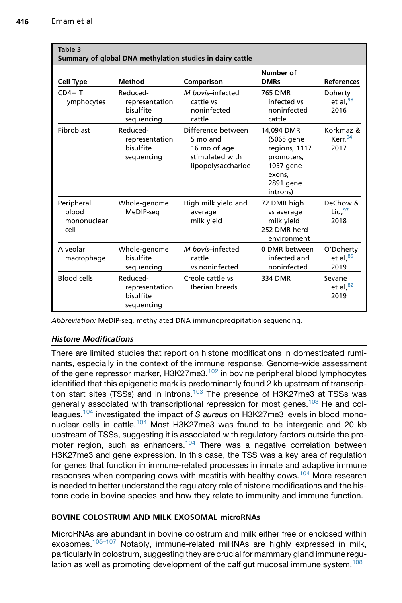<span id="page-11-0"></span>

| Table 3<br>Summary of global DNA methylation studies in dairy cattle |                                                       |                                                                                         |                                                                                                         |                                          |  |  |
|----------------------------------------------------------------------|-------------------------------------------------------|-----------------------------------------------------------------------------------------|---------------------------------------------------------------------------------------------------------|------------------------------------------|--|--|
| <b>Cell Type</b>                                                     | Method                                                | Comparison                                                                              | Number of<br><b>DMRs</b>                                                                                | <b>References</b>                        |  |  |
| $CD4+T$<br>lymphocytes                                               | Reduced-<br>representation<br>bisulfite<br>sequencing | M bovis-infected<br>cattle vs<br>noninfected<br>cattle                                  | <b>765 DMR</b><br>infected vs<br>noninfected<br>cattle                                                  | Doherty<br>et al, $98$<br>2016           |  |  |
| Fibroblast                                                           | Reduced-<br>representation<br>bisulfite<br>sequencing | Difference between<br>5 mo and<br>16 mo of age<br>stimulated with<br>lipopolysaccharide | 14.094 DMR<br>(5065 gene<br>regions, 1117<br>promoters,<br>1057 gene<br>exons,<br>2891 gene<br>introns) | Korkmaz &<br>Kerr. <sup>94</sup><br>2017 |  |  |
| Peripheral<br>blood<br>mononuclear<br>cell                           | Whole-genome<br>MeDIP-seg                             | High milk yield and<br>average<br>milk yield                                            | 72 DMR high<br>vs average<br>milk vield<br>252 DMR herd<br>environment                                  | DeChow &<br>Liu. $97$<br>2018            |  |  |
| Alveolar<br>macrophage                                               | Whole-genome<br>bisulfite<br>sequencing               | M bovis-infected<br>cattle<br>vs noninfected                                            | 0 DMR between<br>infected and<br>noninfected                                                            | O'Doherty<br>et al, $85$<br>2019         |  |  |
| <b>Blood cells</b>                                                   | Reduced-<br>representation<br>bisulfite<br>sequencing | Creole cattle vs<br>Iberian breeds                                                      | 334 DMR                                                                                                 | Sevane<br>et al, $^{82}$<br>2019         |  |  |

Abbreviation: MeDIP-seq, methylated DNA immunoprecipitation sequencing.

# Histone Modifications

There are limited studies that report on histone modifications in domesticated ruminants, especially in the context of the immune response. Genome-wide assessment of the gene repressor marker, H3K27me3,<sup>[102](#page-21-0)</sup> in bovine peripheral blood lymphocytes identified that this epigenetic mark is predominantly found 2 kb upstream of transcrip-tion start sites (TSSs) and in introns.<sup>[103](#page-21-0)</sup> The presence of H3K27me3 at TSSs was generally associated with transcriptional repression for most genes.<sup>[103](#page-21-0)</sup> He and colleagues,[104](#page-21-0) investigated the impact of *S aureus* on H3K27me3 levels in blood mononuclear cells in cattle.[104](#page-21-0) Most H3K27me3 was found to be intergenic and 20 kb upstream of TSSs, suggesting it is associated with regulatory factors outside the pro-moter region, such as enhancers.<sup>[104](#page-21-0)</sup> There was a negative correlation between H3K27me3 and gene expression. In this case, the TSS was a key area of regulation for genes that function in immune-related processes in innate and adaptive immune responses when comparing cows with mastitis with healthy cows.<sup>[104](#page-21-0)</sup> More research is needed to better understand the regulatory role of histone modifications and the histone code in bovine species and how they relate to immunity and immune function.

# BOVINE COLOSTRUM AND MILK EXOSOMAL microRNAs

MicroRNAs are abundant in bovine colostrum and milk either free or enclosed within exosomes.<sup>105-107</sup> Notably, immune-related miRNAs are highly expressed in milk, particularly in colostrum, suggesting they are crucial for mammary gland immune regu-lation as well as promoting development of the calf gut mucosal immune system.<sup>[108](#page-21-0)</sup>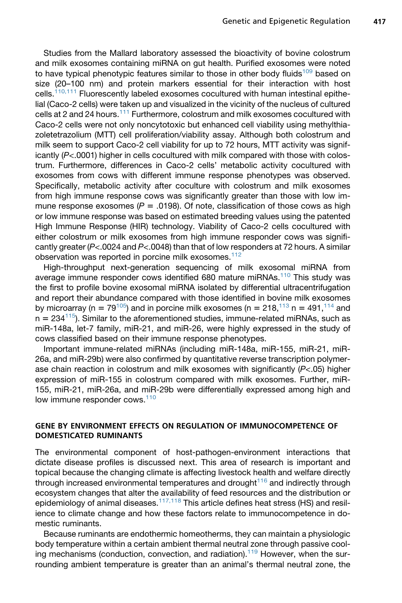Studies from the Mallard laboratory assessed the bioactivity of bovine colostrum and milk exosomes containing miRNA on gut health. Purified exosomes were noted to have typical phenotypic features similar to those in other body fluids<sup>[109](#page-21-0)</sup> based on size (20–100 nm) and protein markers essential for their interaction with host cells.<sup>[110,111](#page-21-0)</sup> Fluorescently labeled exosomes cocultured with human intestinal epithelial (Caco-2 cells) were taken up and visualized in the vicinity of the nucleus of cultured cells at 2 and 24 hours.<sup>[111](#page-21-0)</sup> Furthermore, colostrum and milk exosomes cocultured with Caco-2 cells were not only noncytotoxic but enhanced cell viability using methylthiazoletetrazolium (MTT) cell proliferation/viability assay. Although both colostrum and milk seem to support Caco-2 cell viability for up to 72 hours, MTT activity was significantly (*P*<.0001) higher in cells cocultured with milk compared with those with colostrum. Furthermore, differences in Caco-2 cells' metabolic activity cocultured with exosomes from cows with different immune response phenotypes was observed. Specifically, metabolic activity after coculture with colostrum and milk exosomes from high immune response cows was significantly greater than those with low immune response exosomes  $(P = .0198)$ . Of note, classification of those cows as high or low immune response was based on estimated breeding values using the patented High Immune Response (HIR) technology. Viability of Caco-2 cells cocultured with either colostrum or milk exosomes from high immune responder cows was significantly greater (*P*<.0024 and *P*<.0048) than that of low responders at 72 hours. A similar observation was reported in porcine milk exosomes.<sup>[112](#page-21-0)</sup>

High-throughput next-generation sequencing of milk exosomal miRNA from average immune responder cows identified 680 mature miRNAs.<sup>[110](#page-21-0)</sup> This study was the first to profile bovine exosomal miRNA isolated by differential ultracentrifugation and report their abundance compared with those identified in bovine milk exosomes by microarray (n =  $79^{105}$ ) and in porcine milk exosomes (n =  $218,113$  $218,113$  n =  $491,114$  $491,114$  and  $n = 234^{115}$  $n = 234^{115}$  $n = 234^{115}$ ). Similar to the aforementioned studies, immune-related miRNAs, such as miR-148a, let-7 family, miR-21, and miR-26, were highly expressed in the study of cows classified based on their immune response phenotypes.

Important immune-related miRNAs (including miR-148a, miR-155, miR-21, miR-26a, and miR-29b) were also confirmed by quantitative reverse transcription polymerase chain reaction in colostrum and milk exosomes with significantly (*P*<.05) higher expression of miR-155 in colostrum compared with milk exosomes. Further, miR-155, miR-21, miR-26a, and miR-29b were differentially expressed among high and low immune responder cows.<sup>[110](#page-21-0)</sup>

# GENE BY ENVIRONMENT EFFECTS ON REGULATION OF IMMUNOCOMPETENCE OF DOMESTICATED RUMINANTS

The environmental component of host-pathogen-environment interactions that dictate disease profiles is discussed next. This area of research is important and topical because the changing climate is affecting livestock health and welfare directly through increased environmental temperatures and drought $116$  and indirectly through ecosystem changes that alter the availability of feed resources and the distribution or epidemiology of animal diseases. $117,118$  This article defines heat stress (HS) and resilience to climate change and how these factors relate to immunocompetence in domestic ruminants.

Because ruminants are endothermic homeotherms, they can maintain a physiologic body temperature within a certain ambient thermal neutral zone through passive cool-ing mechanisms (conduction, convection, and radiation).<sup>[119](#page-22-0)</sup> However, when the surrounding ambient temperature is greater than an animal's thermal neutral zone, the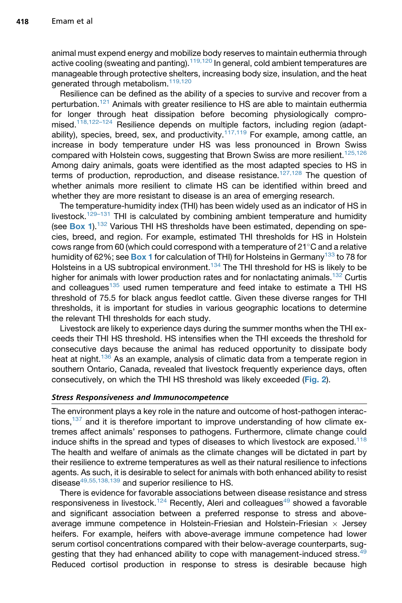animal must expend energy and mobilize body reserves to maintain euthermia through active cooling (sweating and panting).<sup>[119,120](#page-22-0)</sup> In general, cold ambient temperatures are manageable through protective shelters, increasing body size, insulation, and the heat generated through metabolism.<sup>[119,120](#page-22-0)</sup>

Resilience can be defined as the ability of a species to survive and recover from a perturbation.[121](#page-22-0) Animals with greater resilience to HS are able to maintain euthermia for longer through heat dissipation before becoming physiologically compromised.<sup>118,122-124</sup> Resilience depends on multiple factors, including region (adapt-ability), species, breed, sex, and productivity.<sup>[117,119](#page-22-0)</sup> For example, among cattle, an increase in body temperature under HS was less pronounced in Brown Swiss compared with Holstein cows, suggesting that Brown Swiss are more resilient.<sup>[125,126](#page-22-0)</sup> Among dairy animals, goats were identified as the most adapted species to HS in terms of production, reproduction, and disease resistance.<sup>[127,128](#page-22-0)</sup> The question of whether animals more resilient to climate HS can be identified within breed and whether they are more resistant to disease is an area of emerging research.

The temperature-humidity index (THI) has been widely used as an indicator of HS in livestock.<sup>[129–131](#page-22-0)</sup> THI is calculated by combining ambient temperature and humidity (see [Box 1](#page-1-0)).<sup>132</sup> Various THI HS thresholds have been estimated, depending on species, breed, and region. For example, estimated THI thresholds for HS in Holstein cows range from 60 (which could correspond with a temperature of  $21^{\circ}$ C and a relative humidity of 62%; see **[Box 1](#page-1-0)** for calculation of THI) for Holsteins in Germany<sup>[133](#page-22-0)</sup> to 78 for Holsteins in a US subtropical environment.<sup>[134](#page-22-0)</sup> The THI threshold for HS is likely to be higher for animals with lower production rates and for nonlactating animals.<sup>[132](#page-22-0)</sup> Curtis and colleagues<sup>[135](#page-23-0)</sup> used rumen temperature and feed intake to estimate a THI HS threshold of 75.5 for black angus feedlot cattle. Given these diverse ranges for THI thresholds, it is important for studies in various geographic locations to determine the relevant THI thresholds for each study.

Livestock are likely to experience days during the summer months when the THI exceeds their THI HS threshold. HS intensifies when the THI exceeds the threshold for consecutive days because the animal has reduced opportunity to dissipate body heat at night.<sup>[136](#page-23-0)</sup> As an example, analysis of climatic data from a temperate region in southern Ontario, Canada, revealed that livestock frequently experience days, often consecutively, on which the THI HS threshold was likely exceeded ([Fig. 2](#page-14-0)).

## Stress Responsiveness and Immunocompetence

The environment plays a key role in the nature and outcome of host-pathogen interactions, $137$  and it is therefore important to improve understanding of how climate extremes affect animals' responses to pathogens. Furthermore, climate change could induce shifts in the spread and types of diseases to which livestock are exposed.<sup>[118](#page-22-0)</sup> The health and welfare of animals as the climate changes will be dictated in part by their resilience to extreme temperatures as well as their natural resilience to infections agents. As such, it is desirable to select for animals with both enhanced ability to resist disease<sup>49,55,138,139</sup> and superior resilience to HS.

There is evidence for favorable associations between disease resistance and stress responsiveness in livestock.<sup>[124](#page-22-0)</sup> Recently, Aleri and colleagues<sup>[49](#page-18-0)</sup> showed a favorable and significant association between a preferred response to stress and aboveaverage immune competence in Holstein-Friesian and Holstein-Friesian  $\times$  Jersey heifers. For example, heifers with above-average immune competence had lower serum cortisol concentrations compared with their below-average counterparts, sug-gesting that they had enhanced ability to cope with management-induced stress.<sup>[49](#page-18-0)</sup> Reduced cortisol production in response to stress is desirable because high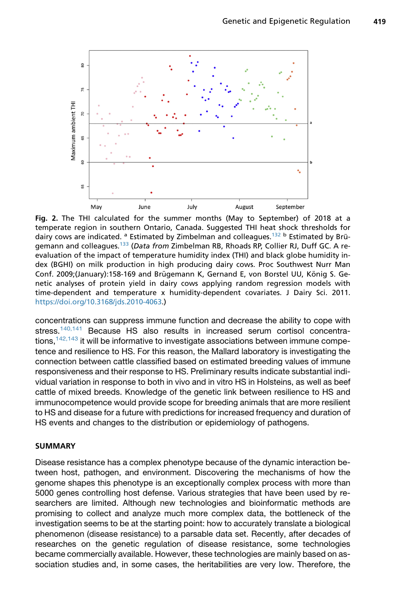<span id="page-14-0"></span>

Fig. 2. The THI calculated for the summer months (May to September) of 2018 at a temperate region in southern Ontario, Canada. Suggested THI heat shock thresholds for dairy cows are indicated. <sup>a</sup> Estimated by Zimbelman and colleagues.<sup>[132](#page-22-0)</sup> b Estimated by Brü-gemann and colleagues.<sup>[133](#page-22-0)</sup> (Data from Zimbelman RB, Rhoads RP, Collier RJ, Duff GC. A reevaluation of the impact of temperature humidity index (THI) and black globe humidity index (BGHI) on milk production in high producing dairy cows. Proc Southwest Nurr Man Conf. 2009;(January):158-169 and Brügemann K, Gernand E, von Borstel UU, König S. Genetic analyses of protein yield in dairy cows applying random regression models with time-dependent and temperature x humidity-dependent covariates. J Dairy Sci. 2011. [https://doi.org/10.3168/jds.2010-4063.](https://doi.org/10.3168/jds.2010-4063))

concentrations can suppress immune function and decrease the ability to cope with stress.<sup>140,141</sup> Because HS also results in increased serum cortisol concentrations, $142,143$  it will be informative to investigate associations between immune competence and resilience to HS. For this reason, the Mallard laboratory is investigating the connection between cattle classified based on estimated breeding values of immune responsiveness and their response to HS. Preliminary results indicate substantial individual variation in response to both in vivo and in vitro HS in Holsteins, as well as beef cattle of mixed breeds. Knowledge of the genetic link between resilience to HS and immunocompetence would provide scope for breeding animals that are more resilient to HS and disease for a future with predictions for increased frequency and duration of HS events and changes to the distribution or epidemiology of pathogens.

# SUMMARY

Disease resistance has a complex phenotype because of the dynamic interaction between host, pathogen, and environment. Discovering the mechanisms of how the genome shapes this phenotype is an exceptionally complex process with more than 5000 genes controlling host defense. Various strategies that have been used by researchers are limited. Although new technologies and bioinformatic methods are promising to collect and analyze much more complex data, the bottleneck of the investigation seems to be at the starting point: how to accurately translate a biological phenomenon (disease resistance) to a parsable data set. Recently, after decades of researches on the genetic regulation of disease resistance, some technologies became commercially available. However, these technologies are mainly based on association studies and, in some cases, the heritabilities are very low. Therefore, the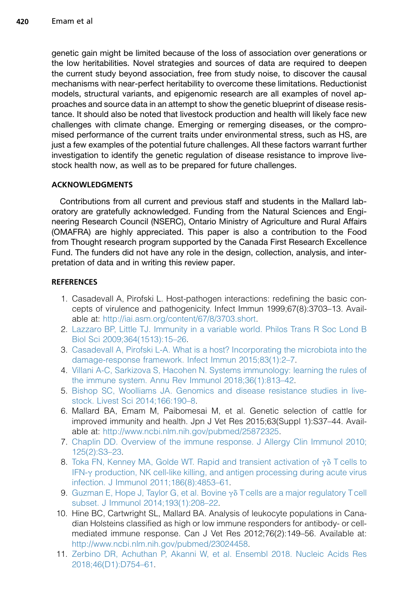<span id="page-15-0"></span>genetic gain might be limited because of the loss of association over generations or the low heritabilities. Novel strategies and sources of data are required to deepen the current study beyond association, free from study noise, to discover the causal mechanisms with near-perfect heritability to overcome these limitations. Reductionist models, structural variants, and epigenomic research are all examples of novel approaches and source data in an attempt to show the genetic blueprint of disease resistance. It should also be noted that livestock production and health will likely face new challenges with climate change. Emerging or remerging diseases, or the compromised performance of the current traits under environmental stress, such as HS, are just a few examples of the potential future challenges. All these factors warrant further investigation to identify the genetic regulation of disease resistance to improve livestock health now, as well as to be prepared for future challenges.

# ACKNOWLEDGMENTS

Contributions from all current and previous staff and students in the Mallard laboratory are gratefully acknowledged. Funding from the Natural Sciences and Engineering Research Council (NSERC), Ontario Ministry of Agriculture and Rural Affairs (OMAFRA) are highly appreciated. This paper is also a contribution to the Food from Thought research program supported by the Canada First Research Excellence Fund. The funders did not have any role in the design, collection, analysis, and interpretation of data and in writing this review paper.

# **REFERENCES**

- 1. Casadevall A, Pirofski L. Host-pathogen interactions: redefining the basic concepts of virulence and pathogenicity. Infect Immun 1999;67(8):3703–13. Available at: <http://iai.asm.org/content/67/8/3703.short>.
- 2. [Lazzaro BP, Little TJ. Immunity in a variable world. Philos Trans R Soc Lond B](http://refhub.elsevier.com/S0749-0720(19)30024-6/sref2) [Biol Sci 2009;364\(1513\):15–26](http://refhub.elsevier.com/S0749-0720(19)30024-6/sref2).
- 3. [Casadevall A, Pirofski L-A. What is a host? Incorporating the microbiota into the](http://refhub.elsevier.com/S0749-0720(19)30024-6/sref3) [damage-response framework. Infect Immun 2015;83\(1\):2–7.](http://refhub.elsevier.com/S0749-0720(19)30024-6/sref3)
- 4. [Villani A-C, Sarkizova S, Hacohen N. Systems immunology: learning the rules of](http://refhub.elsevier.com/S0749-0720(19)30024-6/sref4) [the immune system. Annu Rev Immunol 2018;36\(1\):813–42.](http://refhub.elsevier.com/S0749-0720(19)30024-6/sref4)
- 5. [Bishop SC, Woolliams JA. Genomics and disease resistance studies in live](http://refhub.elsevier.com/S0749-0720(19)30024-6/sref5)[stock. Livest Sci 2014;166:190–8.](http://refhub.elsevier.com/S0749-0720(19)30024-6/sref5)
- 6. Mallard BA, Emam M, Paibomesai M, et al. Genetic selection of cattle for improved immunity and health. Jpn J Vet Res 2015;63(Suppl 1):S37–44. Available at: [http://www.ncbi.nlm.nih.gov/pubmed/25872325.](http://www.ncbi.nlm.nih.gov/pubmed/25872325)
- 7. [Chaplin DD. Overview of the immune response. J Allergy Clin Immunol 2010;](http://refhub.elsevier.com/S0749-0720(19)30024-6/sref7) [125\(2\):S3–23](http://refhub.elsevier.com/S0749-0720(19)30024-6/sref7).
- 8. [Toka FN, Kenney MA, Golde WT. Rapid and transient activation of](http://refhub.elsevier.com/S0749-0720(19)30024-6/sref8)  $\gamma\delta$  T cells to  $IFN-\gamma$  [production, NK cell-like killing, and antigen processing during acute virus](http://refhub.elsevier.com/S0749-0720(19)30024-6/sref8) [infection. J Immunol 2011;186\(8\):4853–61](http://refhub.elsevier.com/S0749-0720(19)30024-6/sref8).
- 9. [Guzman E, Hope J, Taylor G, et al. Bovine](http://refhub.elsevier.com/S0749-0720(19)30024-6/sref9)  $\gamma\delta$  T cells are a major regulatory T cell [subset. J Immunol 2014;193\(1\):208–22](http://refhub.elsevier.com/S0749-0720(19)30024-6/sref9).
- 10. Hine BC, Cartwright SL, Mallard BA. Analysis of leukocyte populations in Canadian Holsteins classified as high or low immune responders for antibody- or cellmediated immune response. Can J Vet Res 2012;76(2):149–56. Available at: <http://www.ncbi.nlm.nih.gov/pubmed/23024458>.
- 11. [Zerbino DR, Achuthan P, Akanni W, et al. Ensembl 2018. Nucleic Acids Res](http://refhub.elsevier.com/S0749-0720(19)30024-6/sref11) [2018;46\(D1\):D754–61](http://refhub.elsevier.com/S0749-0720(19)30024-6/sref11).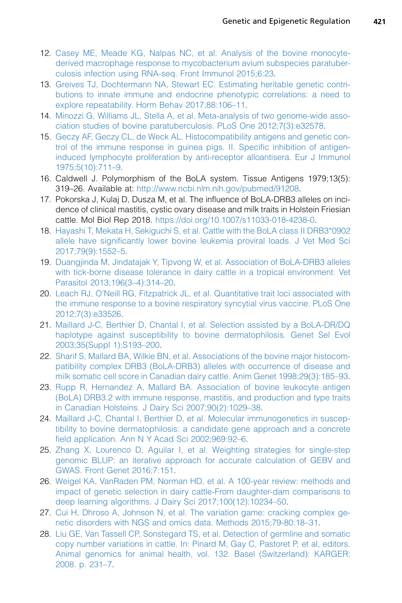- <span id="page-16-0"></span>12. [Casey ME, Meade KG, Nalpas NC, et al. Analysis of the bovine monocyte](http://refhub.elsevier.com/S0749-0720(19)30024-6/sref12)[derived macrophage response to mycobacterium avium subspecies paratuber](http://refhub.elsevier.com/S0749-0720(19)30024-6/sref12)[culosis infection using RNA-seq. Front Immunol 2015;6:23](http://refhub.elsevier.com/S0749-0720(19)30024-6/sref12).
- 13. [Greives TJ, Dochtermann NA, Stewart EC. Estimating heritable genetic contri](http://refhub.elsevier.com/S0749-0720(19)30024-6/sref13)[butions to innate immune and endocrine phenotypic correlations: a need to](http://refhub.elsevier.com/S0749-0720(19)30024-6/sref13) [explore repeatability. Horm Behav 2017;88:106–11.](http://refhub.elsevier.com/S0749-0720(19)30024-6/sref13)
- 14. [Minozzi G, Williams JL, Stella A, et al. Meta-analysis of two genome-wide asso](http://refhub.elsevier.com/S0749-0720(19)30024-6/sref14)[ciation studies of bovine paratuberculosis. PLoS One 2012;7\(3\):e32578.](http://refhub.elsevier.com/S0749-0720(19)30024-6/sref14)
- 15. [Geczy AF, Geczy CL, de Weck AL. Histocompatibility antigens and genetic con](http://refhub.elsevier.com/S0749-0720(19)30024-6/sref15)[trol of the immune response in guinea pigs. II. Specific inhibition of antigen](http://refhub.elsevier.com/S0749-0720(19)30024-6/sref15)[induced lymphocyte proliferation by anti-receptor alloantisera. Eur J Immunol](http://refhub.elsevier.com/S0749-0720(19)30024-6/sref15) [1975;5\(10\):711–9.](http://refhub.elsevier.com/S0749-0720(19)30024-6/sref15)
- 16. Caldwell J. Polymorphism of the BoLA system. Tissue Antigens 1979;13(5): 319–26. Available at: <http://www.ncbi.nlm.nih.gov/pubmed/91208>.
- 17. Pokorska J, Kulaj D, Dusza M, et al. The influence of BoLA-DRB3 alleles on incidence of clinical mastitis, cystic ovary disease and milk traits in Holstein Friesian cattle. Mol Biol Rep 2018. <https://doi.org/10.1007/s11033-018-4238-0>.
- 18. [Hayashi T, Mekata H, Sekiguchi S, et al. Cattle with the BoLA class II DRB3\\*0902](http://refhub.elsevier.com/S0749-0720(19)30024-6/sref18) [allele have significantly lower bovine leukemia proviral loads. J Vet Med Sci](http://refhub.elsevier.com/S0749-0720(19)30024-6/sref18) [2017;79\(9\):1552–5.](http://refhub.elsevier.com/S0749-0720(19)30024-6/sref18)
- 19. [Duangjinda M, Jindatajak Y, Tipvong W, et al. Association of BoLA-DRB3 alleles](http://refhub.elsevier.com/S0749-0720(19)30024-6/sref19) [with tick-borne disease tolerance in dairy cattle in a tropical environment. Vet](http://refhub.elsevier.com/S0749-0720(19)30024-6/sref19) [Parasitol 2013;196\(3–4\):314–20](http://refhub.elsevier.com/S0749-0720(19)30024-6/sref19).
- 20. [Leach RJ, O'Neill RG, Fitzpatrick JL, et al. Quantitative trait loci associated with](http://refhub.elsevier.com/S0749-0720(19)30024-6/sref20) [the immune response to a bovine respiratory syncytial virus vaccine. PLoS One](http://refhub.elsevier.com/S0749-0720(19)30024-6/sref20) [2012;7\(3\):e33526](http://refhub.elsevier.com/S0749-0720(19)30024-6/sref20).
- 21. [Maillard J-C, Berthier D, Chantal I, et al. Selection assisted by a BoLA-DR/DQ](http://refhub.elsevier.com/S0749-0720(19)30024-6/sref21) [haplotype against susceptibility to bovine dermatophilosis. Genet Sel Evol](http://refhub.elsevier.com/S0749-0720(19)30024-6/sref21) [2003;35\(Suppl 1\):S193–200](http://refhub.elsevier.com/S0749-0720(19)30024-6/sref21).
- 22. [Sharif S, Mallard BA, Wilkie BN, et al. Associations of the bovine major histocom](http://refhub.elsevier.com/S0749-0720(19)30024-6/sref22)[patibility complex DRB3 \(BoLA-DRB3\) alleles with occurrence of disease and](http://refhub.elsevier.com/S0749-0720(19)30024-6/sref22) [milk somatic cell score in Canadian dairy cattle. Anim Genet 1998;29\(3\):185–93](http://refhub.elsevier.com/S0749-0720(19)30024-6/sref22).
- 23. [Rupp R, Hernandez A, Mallard BA. Association of bovine leukocyte antigen](http://refhub.elsevier.com/S0749-0720(19)30024-6/sref23) [\(BoLA\) DRB3.2 with immune response, mastitis, and production and type traits](http://refhub.elsevier.com/S0749-0720(19)30024-6/sref23) [in Canadian Holsteins. J Dairy Sci 2007;90\(2\):1029–38](http://refhub.elsevier.com/S0749-0720(19)30024-6/sref23).
- 24. [Maillard J-C, Chantal I, Berthier D, et al. Molecular immunogenetics in suscep](http://refhub.elsevier.com/S0749-0720(19)30024-6/sref24)[tibility to bovine dermatophilosis: a candidate gene approach and a concrete](http://refhub.elsevier.com/S0749-0720(19)30024-6/sref24) [field application. Ann N Y Acad Sci 2002;969:92–6](http://refhub.elsevier.com/S0749-0720(19)30024-6/sref24).
- 25. [Zhang X, Lourenco D, Aguilar I, et al. Weighting strategies for single-step](http://refhub.elsevier.com/S0749-0720(19)30024-6/sref25) [genomic BLUP: an iterative approach for accurate calculation of GEBV and](http://refhub.elsevier.com/S0749-0720(19)30024-6/sref25) [GWAS. Front Genet 2016;7:151.](http://refhub.elsevier.com/S0749-0720(19)30024-6/sref25)
- 26. [Weigel KA, VanRaden PM, Norman HD, et al. A 100-year review: methods and](http://refhub.elsevier.com/S0749-0720(19)30024-6/sref26) [impact of genetic selection in dairy cattle-From daughter-dam comparisons to](http://refhub.elsevier.com/S0749-0720(19)30024-6/sref26) [deep learning algorithms. J Dairy Sci 2017;100\(12\):10234–50.](http://refhub.elsevier.com/S0749-0720(19)30024-6/sref26)
- 27. [Cui H, Dhroso A, Johnson N, et al. The variation game: cracking complex ge](http://refhub.elsevier.com/S0749-0720(19)30024-6/sref27)[netic disorders with NGS and omics data. Methods 2015;79-80:18–31.](http://refhub.elsevier.com/S0749-0720(19)30024-6/sref27)
- 28. [Liu GE, Van Tassell CP, Sonstegard TS, et al. Detection of germline and somatic](http://refhub.elsevier.com/S0749-0720(19)30024-6/sref28) [copy number variations in cattle. In: Pinard M, Gay C, Pastoret P, et al, editors.](http://refhub.elsevier.com/S0749-0720(19)30024-6/sref28) [Animal genomics for animal health, vol. 132. Basel \(Switzerland\): KARGER;](http://refhub.elsevier.com/S0749-0720(19)30024-6/sref28) [2008. p. 231–7](http://refhub.elsevier.com/S0749-0720(19)30024-6/sref28).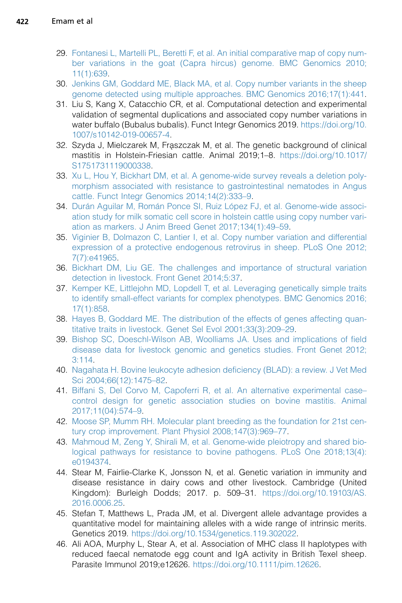- <span id="page-17-0"></span>29. [Fontanesi L, Martelli PL, Beretti F, et al. An initial comparative map of copy num](http://refhub.elsevier.com/S0749-0720(19)30024-6/sref29)[ber variations in the goat \(Capra hircus\) genome. BMC Genomics 2010;](http://refhub.elsevier.com/S0749-0720(19)30024-6/sref29) [11\(1\):639](http://refhub.elsevier.com/S0749-0720(19)30024-6/sref29).
- 30. [Jenkins GM, Goddard ME, Black MA, et al. Copy number variants in the sheep](http://refhub.elsevier.com/S0749-0720(19)30024-6/sref30) [genome detected using multiple approaches. BMC Genomics 2016;17\(1\):441.](http://refhub.elsevier.com/S0749-0720(19)30024-6/sref30)
- 31. Liu S, Kang X, Catacchio CR, et al. Computational detection and experimental validation of segmental duplications and associated copy number variations in water buffalo (Bubalus bubalis). Funct Integr Genomics 2019. [https://doi.org/10.](https://doi.org/10.1007/s10142-019-00657-4) [1007/s10142-019-00657-4](https://doi.org/10.1007/s10142-019-00657-4).
- 32. Szyda J, Mielczarek M, Fraszczak M, et al. The genetic background of clinical mastitis in Holstein-Friesian cattle. Animal 2019;1–8. [https://doi.org/10.1017/](https://doi.org/10.1017/S1751731119000338) [S1751731119000338](https://doi.org/10.1017/S1751731119000338).
- 33. [Xu L, Hou Y, Bickhart DM, et al. A genome-wide survey reveals a deletion poly](http://refhub.elsevier.com/S0749-0720(19)30024-6/sref33)[morphism associated with resistance to gastrointestinal nematodes in Angus](http://refhub.elsevier.com/S0749-0720(19)30024-6/sref33) [cattle. Funct Integr Genomics 2014;14\(2\):333–9](http://refhub.elsevier.com/S0749-0720(19)30024-6/sref33).
- 34. Durán Aguilar M, Román Ponce SI, Ruiz López FJ, et al. Genome-wide associ[ation study for milk somatic cell score in holstein cattle using copy number vari](http://refhub.elsevier.com/S0749-0720(19)30024-6/sref34)[ation as markers. J Anim Breed Genet 2017;134\(1\):49–59](http://refhub.elsevier.com/S0749-0720(19)30024-6/sref34).
- 35. [Viginier B, Dolmazon C, Lantier I, et al. Copy number variation and differential](http://refhub.elsevier.com/S0749-0720(19)30024-6/sref35) [expression of a protective endogenous retrovirus in sheep. PLoS One 2012;](http://refhub.elsevier.com/S0749-0720(19)30024-6/sref35) [7\(7\):e41965](http://refhub.elsevier.com/S0749-0720(19)30024-6/sref35).
- 36. [Bickhart DM, Liu GE. The challenges and importance of structural variation](http://refhub.elsevier.com/S0749-0720(19)30024-6/sref36) [detection in livestock. Front Genet 2014;5:37](http://refhub.elsevier.com/S0749-0720(19)30024-6/sref36).
- 37. [Kemper KE, Littlejohn MD, Lopdell T, et al. Leveraging genetically simple traits](http://refhub.elsevier.com/S0749-0720(19)30024-6/sref37) [to identify small-effect variants for complex phenotypes. BMC Genomics 2016;](http://refhub.elsevier.com/S0749-0720(19)30024-6/sref37) [17\(1\):858](http://refhub.elsevier.com/S0749-0720(19)30024-6/sref37).
- 38. [Hayes B, Goddard ME. The distribution of the effects of genes affecting quan](http://refhub.elsevier.com/S0749-0720(19)30024-6/sref38)[titative traits in livestock. Genet Sel Evol 2001;33\(3\):209–29](http://refhub.elsevier.com/S0749-0720(19)30024-6/sref38).
- 39. [Bishop SC, Doeschl-Wilson AB, Woolliams JA. Uses and implications of field](http://refhub.elsevier.com/S0749-0720(19)30024-6/sref39) [disease data for livestock genomic and genetics studies. Front Genet 2012;](http://refhub.elsevier.com/S0749-0720(19)30024-6/sref39) [3:114.](http://refhub.elsevier.com/S0749-0720(19)30024-6/sref39)
- 40. [Nagahata H. Bovine leukocyte adhesion deficiency \(BLAD\): a review. J Vet Med](http://refhub.elsevier.com/S0749-0720(19)30024-6/sref40) [Sci 2004;66\(12\):1475–82.](http://refhub.elsevier.com/S0749-0720(19)30024-6/sref40)
- 41. [Biffani S, Del Corvo M, Capoferri R, et al. An alternative experimental case–](http://refhub.elsevier.com/S0749-0720(19)30024-6/sref41) [control design for genetic association studies on bovine mastitis. Animal](http://refhub.elsevier.com/S0749-0720(19)30024-6/sref41) [2017;11\(04\):574–9](http://refhub.elsevier.com/S0749-0720(19)30024-6/sref41).
- 42. [Moose SP, Mumm RH. Molecular plant breeding as the foundation for 21st cen](http://refhub.elsevier.com/S0749-0720(19)30024-6/sref42)[tury crop improvement. Plant Physiol 2008;147\(3\):969–77](http://refhub.elsevier.com/S0749-0720(19)30024-6/sref42).
- 43. [Mahmoud M, Zeng Y, Shirali M, et al. Genome-wide pleiotropy and shared bio](http://refhub.elsevier.com/S0749-0720(19)30024-6/sref43)[logical pathways for resistance to bovine pathogens. PLoS One 2018;13\(4\):](http://refhub.elsevier.com/S0749-0720(19)30024-6/sref43) [e0194374.](http://refhub.elsevier.com/S0749-0720(19)30024-6/sref43)
- 44. Stear M, Fairlie-Clarke K, Jonsson N, et al. Genetic variation in immunity and disease resistance in dairy cows and other livestock. Cambridge (United Kingdom): Burleigh Dodds; 2017. p. 509–31. [https://doi.org/10.19103/AS.](https://doi.org/10.19103/AS.2016.0006.25) [2016.0006.25.](https://doi.org/10.19103/AS.2016.0006.25)
- 45. Stefan T, Matthews L, Prada JM, et al. Divergent allele advantage provides a quantitative model for maintaining alleles with a wide range of intrinsic merits. Genetics 2019. <https://doi.org/10.1534/genetics.119.302022>.
- 46. Ali AOA, Murphy L, Stear A, et al. Association of MHC class II haplotypes with reduced faecal nematode egg count and IgA activity in British Texel sheep. Parasite Immunol 2019;e12626. [https://doi.org/10.1111/pim.12626.](https://doi.org/10.1111/pim.12626)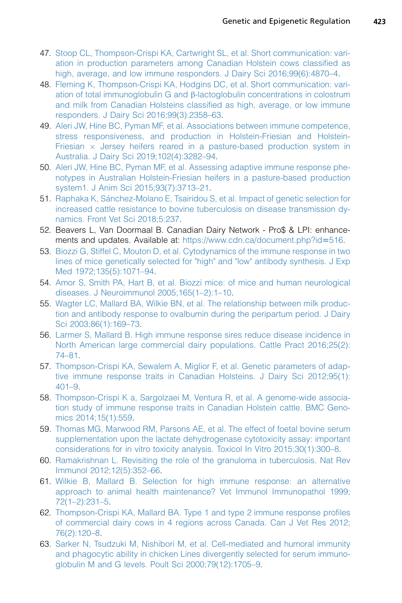- <span id="page-18-0"></span>47. [Stoop CL, Thompson-Crispi KA, Cartwright SL, et al. Short communication: vari](http://refhub.elsevier.com/S0749-0720(19)30024-6/sref47)[ation in production parameters among Canadian Holstein cows classified as](http://refhub.elsevier.com/S0749-0720(19)30024-6/sref47) high, average, and low immune responders. J Dairy Sci 2016;99(6):4870-4.
- 48. [Fleming K, Thompson-Crispi KA, Hodgins DC, et al. Short communication: vari](http://refhub.elsevier.com/S0749-0720(19)30024-6/sref48)ation of total immunoglobulin G and b[-lactoglobulin concentrations in colostrum](http://refhub.elsevier.com/S0749-0720(19)30024-6/sref48) [and milk from Canadian Holsteins classified as high, average, or low immune](http://refhub.elsevier.com/S0749-0720(19)30024-6/sref48) [responders. J Dairy Sci 2016;99\(3\):2358–63.](http://refhub.elsevier.com/S0749-0720(19)30024-6/sref48)
- 49. [Aleri JW, Hine BC, Pyman MF, et al. Associations between immune competence,](http://refhub.elsevier.com/S0749-0720(19)30024-6/sref49) [stress responsiveness, and production in Holstein-Friesian and Holstein-](http://refhub.elsevier.com/S0749-0720(19)30024-6/sref49)[Friesian](http://refhub.elsevier.com/S0749-0720(19)30024-6/sref49)  $\times$  [Jersey heifers reared in a pasture-based production system in](http://refhub.elsevier.com/S0749-0720(19)30024-6/sref49) [Australia. J Dairy Sci 2019;102\(4\):3282–94.](http://refhub.elsevier.com/S0749-0720(19)30024-6/sref49)
- 50. [Aleri JW, Hine BC, Pyman MF, et al. Assessing adaptive immune response phe](http://refhub.elsevier.com/S0749-0720(19)30024-6/sref50)[notypes in Australian Holstein-Friesian heifers in a pasture-based production](http://refhub.elsevier.com/S0749-0720(19)30024-6/sref50) [system1. J Anim Sci 2015;93\(7\):3713–21.](http://refhub.elsevier.com/S0749-0720(19)30024-6/sref50)
- 51. Raphaka K, Sánchez-Molano E, Tsairidou S, et al. Impact of genetic selection for [increased cattle resistance to bovine tuberculosis on disease transmission dy](http://refhub.elsevier.com/S0749-0720(19)30024-6/sref51)[namics. Front Vet Sci 2018;5:237.](http://refhub.elsevier.com/S0749-0720(19)30024-6/sref51)
- 52. Beavers L, Van Doormaal B. Canadian Dairy Network Pro\$ & LPI: enhancements and updates. Available at: [https://www.cdn.ca/document.php?id](https://www.cdn.ca/document.php?id=516)=516.
- 53. [Biozzi G, Stiffel C, Mouton D, et al. Cytodynamics of the immune response in two](http://refhub.elsevier.com/S0749-0720(19)30024-6/sref53) [lines of mice genetically selected for "high" and "low" antibody synthesis. J Exp](http://refhub.elsevier.com/S0749-0720(19)30024-6/sref53) [Med 1972;135\(5\):1071–94](http://refhub.elsevier.com/S0749-0720(19)30024-6/sref53).
- 54. [Amor S, Smith PA, Hart B, et al. Biozzi mice: of mice and human neurological](http://refhub.elsevier.com/S0749-0720(19)30024-6/sref54) [diseases. J Neuroimmunol 2005;165\(1–2\):1–10.](http://refhub.elsevier.com/S0749-0720(19)30024-6/sref54)
- 55. [Wagter LC, Mallard BA, Wilkie BN, et al. The relationship between milk produc](http://refhub.elsevier.com/S0749-0720(19)30024-6/sref56)[tion and antibody response to ovalbumin during the peripartum period. J Dairy](http://refhub.elsevier.com/S0749-0720(19)30024-6/sref56) [Sci 2003;86\(1\):169–73](http://refhub.elsevier.com/S0749-0720(19)30024-6/sref56).
- 56. [Larmer S, Mallard B. High immune response sires reduce disease incidence in](http://refhub.elsevier.com/S0749-0720(19)30024-6/sref57) [North American large commercial dairy populations. Cattle Pract 2016;25\(2\):](http://refhub.elsevier.com/S0749-0720(19)30024-6/sref57) [74–81](http://refhub.elsevier.com/S0749-0720(19)30024-6/sref57).
- 57. [Thompson-Crispi KA, Sewalem A, Miglior F, et al. Genetic parameters of adap](http://refhub.elsevier.com/S0749-0720(19)30024-6/sref58)[tive immune response traits in Canadian Holsteins. J Dairy Sci 2012;95\(1\):](http://refhub.elsevier.com/S0749-0720(19)30024-6/sref58) [401–9](http://refhub.elsevier.com/S0749-0720(19)30024-6/sref58).
- 58. [Thompson-Crispi K a, Sargolzaei M, Ventura R, et al. A genome-wide associa](http://refhub.elsevier.com/S0749-0720(19)30024-6/sref59)[tion study of immune response traits in Canadian Holstein cattle. BMC Geno](http://refhub.elsevier.com/S0749-0720(19)30024-6/sref59)[mics 2014;15\(1\):559](http://refhub.elsevier.com/S0749-0720(19)30024-6/sref59).
- 59. [Thomas MG, Marwood RM, Parsons AE, et al. The effect of foetal bovine serum](http://refhub.elsevier.com/S0749-0720(19)30024-6/sref60) [supplementation upon the lactate dehydrogenase cytotoxicity assay: important](http://refhub.elsevier.com/S0749-0720(19)30024-6/sref60) [considerations for in vitro toxicity analysis. Toxicol In Vitro 2015;30\(1\):300–8](http://refhub.elsevier.com/S0749-0720(19)30024-6/sref60).
- 60. [Ramakrishnan L. Revisiting the role of the granuloma in tuberculosis. Nat Rev](http://refhub.elsevier.com/S0749-0720(19)30024-6/sref61) [Immunol 2012;12\(5\):352–66.](http://refhub.elsevier.com/S0749-0720(19)30024-6/sref61)
- 61. [Wilkie B, Mallard B. Selection for high immune response: an alternative](http://refhub.elsevier.com/S0749-0720(19)30024-6/sref62) [approach to animal health maintenance? Vet Immunol Immunopathol 1999;](http://refhub.elsevier.com/S0749-0720(19)30024-6/sref62) [72\(1–2\):231–5.](http://refhub.elsevier.com/S0749-0720(19)30024-6/sref62)
- 62. [Thompson-Crispi KA, Mallard BA. Type 1 and type 2 immune response profiles](http://refhub.elsevier.com/S0749-0720(19)30024-6/sref63) [of commercial dairy cows in 4 regions across Canada. Can J Vet Res 2012;](http://refhub.elsevier.com/S0749-0720(19)30024-6/sref63) [76\(2\):120–8](http://refhub.elsevier.com/S0749-0720(19)30024-6/sref63).
- 63. [Sarker N, Tsudzuki M, Nishibori M, et al. Cell-mediated and humoral immunity](http://refhub.elsevier.com/S0749-0720(19)30024-6/sref64) [and phagocytic ability in chicken Lines divergently selected for serum immuno](http://refhub.elsevier.com/S0749-0720(19)30024-6/sref64)[globulin M and G levels. Poult Sci 2000;79\(12\):1705–9.](http://refhub.elsevier.com/S0749-0720(19)30024-6/sref64)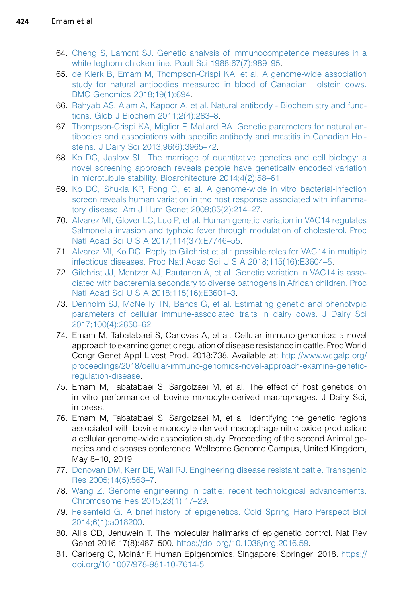- <span id="page-19-0"></span>64. [Cheng S, Lamont SJ. Genetic analysis of immunocompetence measures in a](http://refhub.elsevier.com/S0749-0720(19)30024-6/sref65) [white leghorn chicken line. Poult Sci 1988;67\(7\):989–95](http://refhub.elsevier.com/S0749-0720(19)30024-6/sref65).
- 65. [de Klerk B, Emam M, Thompson-Crispi KA, et al. A genome-wide association](http://refhub.elsevier.com/S0749-0720(19)30024-6/sref66) [study for natural antibodies measured in blood of Canadian Holstein cows.](http://refhub.elsevier.com/S0749-0720(19)30024-6/sref66) [BMC Genomics 2018;19\(1\):694](http://refhub.elsevier.com/S0749-0720(19)30024-6/sref66).
- 66. [Rahyab AS, Alam A, Kapoor A, et al. Natural antibody Biochemistry and func](http://refhub.elsevier.com/S0749-0720(19)30024-6/sref67)[tions. Glob J Biochem 2011;2\(4\):283–8.](http://refhub.elsevier.com/S0749-0720(19)30024-6/sref67)
- 67. [Thompson-Crispi KA, Miglior F, Mallard BA. Genetic parameters for natural an](http://refhub.elsevier.com/S0749-0720(19)30024-6/sref68)[tibodies and associations with specific antibody and mastitis in Canadian Hol](http://refhub.elsevier.com/S0749-0720(19)30024-6/sref68)[steins. J Dairy Sci 2013;96\(6\):3965–72.](http://refhub.elsevier.com/S0749-0720(19)30024-6/sref68)
- 68. [Ko DC, Jaslow SL. The marriage of quantitative genetics and cell biology: a](http://refhub.elsevier.com/S0749-0720(19)30024-6/sref69) [novel screening approach reveals people have genetically encoded variation](http://refhub.elsevier.com/S0749-0720(19)30024-6/sref69) [in microtubule stability. Bioarchitecture 2014;4\(2\):58–61.](http://refhub.elsevier.com/S0749-0720(19)30024-6/sref69)
- 69. [Ko DC, Shukla KP, Fong C, et al. A genome-wide in vitro bacterial-infection](http://refhub.elsevier.com/S0749-0720(19)30024-6/sref70) [screen reveals human variation in the host response associated with inflamma](http://refhub.elsevier.com/S0749-0720(19)30024-6/sref70)[tory disease. Am J Hum Genet 2009;85\(2\):214–27](http://refhub.elsevier.com/S0749-0720(19)30024-6/sref70).
- 70. [Alvarez MI, Glover LC, Luo P, et al. Human genetic variation in VAC14 regulates](http://refhub.elsevier.com/S0749-0720(19)30024-6/sref71) [Salmonella invasion and typhoid fever through modulation of cholesterol. Proc](http://refhub.elsevier.com/S0749-0720(19)30024-6/sref71) [Natl Acad Sci U S A 2017;114\(37\):E7746–55](http://refhub.elsevier.com/S0749-0720(19)30024-6/sref71).
- 71. [Alvarez MI, Ko DC. Reply to Gilchrist et al.: possible roles for VAC14 in multiple](http://refhub.elsevier.com/S0749-0720(19)30024-6/sref72) [infectious diseases. Proc Natl Acad Sci U S A 2018;115\(16\):E3604–5.](http://refhub.elsevier.com/S0749-0720(19)30024-6/sref72)
- 72. [Gilchrist JJ, Mentzer AJ, Rautanen A, et al. Genetic variation in VAC14 is asso](http://refhub.elsevier.com/S0749-0720(19)30024-6/sref73)[ciated with bacteremia secondary to diverse pathogens in African children. Proc](http://refhub.elsevier.com/S0749-0720(19)30024-6/sref73) [Natl Acad Sci U S A 2018;115\(16\):E3601–3](http://refhub.elsevier.com/S0749-0720(19)30024-6/sref73).
- 73. [Denholm SJ, McNeilly TN, Banos G, et al. Estimating genetic and phenotypic](http://refhub.elsevier.com/S0749-0720(19)30024-6/sref74) [parameters of cellular immune-associated traits in dairy cows. J Dairy Sci](http://refhub.elsevier.com/S0749-0720(19)30024-6/sref74) [2017;100\(4\):2850–62](http://refhub.elsevier.com/S0749-0720(19)30024-6/sref74).
- 74. Emam M, Tabatabaei S, Canovas A, et al. Cellular immuno-genomics: a novel approach to examine genetic regulation of disease resistance in cattle. Proc World Congr Genet Appl Livest Prod. 2018:738. Available at: [http://www.wcgalp.org/](http://www.wcgalp.org/proceedings/2018/cellular-immuno-genomics-novel-approach-examine-genetic-regulation-disease) [proceedings/2018/cellular-immuno-genomics-novel-approach-examine-genetic](http://www.wcgalp.org/proceedings/2018/cellular-immuno-genomics-novel-approach-examine-genetic-regulation-disease)[regulation-disease.](http://www.wcgalp.org/proceedings/2018/cellular-immuno-genomics-novel-approach-examine-genetic-regulation-disease)
- 75. Emam M, Tabatabaei S, Sargolzaei M, et al. The effect of host genetics on in vitro performance of bovine monocyte-derived macrophages. J Dairy Sci, in press.
- 76. Emam M, Tabatabaei S, Sargolzaei M, et al. Identifying the genetic regions associated with bovine monocyte-derived macrophage nitric oxide production: a cellular genome-wide association study. Proceeding of the second Animal genetics and diseases conference. Wellcome Genome Campus, United Kingdom, May 8–10, 2019.
- 77. [Donovan DM, Kerr DE, Wall RJ. Engineering disease resistant cattle. Transgenic](http://refhub.elsevier.com/S0749-0720(19)30024-6/sref78) [Res 2005;14\(5\):563–7.](http://refhub.elsevier.com/S0749-0720(19)30024-6/sref78)
- 78. [Wang Z. Genome engineering in cattle: recent technological advancements.](http://refhub.elsevier.com/S0749-0720(19)30024-6/sref79) [Chromosome Res 2015;23\(1\):17–29](http://refhub.elsevier.com/S0749-0720(19)30024-6/sref79).
- 79. [Felsenfeld G. A brief history of epigenetics. Cold Spring Harb Perspect Biol](http://refhub.elsevier.com/S0749-0720(19)30024-6/sref80) [2014;6\(1\):a018200.](http://refhub.elsevier.com/S0749-0720(19)30024-6/sref80)
- 80. Allis CD, Jenuwein T. The molecular hallmarks of epigenetic control. Nat Rev Genet 2016;17(8):487–500. <https://doi.org/10.1038/nrg.2016.59>.
- 81. Carlberg C, Molnár F. Human Epigenomics. Singapore: Springer; 2018. [https://](https://doi.org/10.1007/978-981-10-7614-5) [doi.org/10.1007/978-981-10-7614-5](https://doi.org/10.1007/978-981-10-7614-5).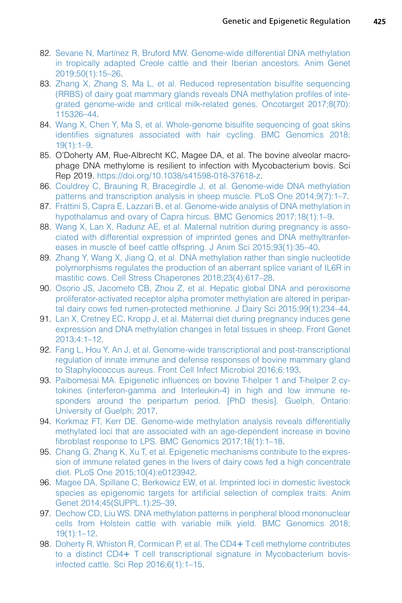- <span id="page-20-0"></span>82. Sevane N, Martínez R, Bruford MW. Genome-wide differential DNA methylation [in tropically adapted Creole cattle and their Iberian ancestors. Anim Genet](http://refhub.elsevier.com/S0749-0720(19)30024-6/sref83) [2019;50\(1\):15–26.](http://refhub.elsevier.com/S0749-0720(19)30024-6/sref83)
- 83. [Zhang X, Zhang S, Ma L, et al. Reduced representation bisulfite sequencing](http://refhub.elsevier.com/S0749-0720(19)30024-6/sref84) [\(RRBS\) of dairy goat mammary glands reveals DNA methylation profiles of inte](http://refhub.elsevier.com/S0749-0720(19)30024-6/sref84)[grated genome-wide and critical milk-related genes. Oncotarget 2017;8\(70\):](http://refhub.elsevier.com/S0749-0720(19)30024-6/sref84) [115326–44.](http://refhub.elsevier.com/S0749-0720(19)30024-6/sref84)
- 84. [Wang X, Chen Y, Ma S, et al. Whole-genome bisulfite sequencing of goat skins](http://refhub.elsevier.com/S0749-0720(19)30024-6/sref85) [identifies signatures associated with hair cycling. BMC Genomics 2018;](http://refhub.elsevier.com/S0749-0720(19)30024-6/sref85)  $19(1):1-9.$
- 85. O'Doherty AM, Rue-Albrecht KC, Magee DA, et al. The bovine alveolar macrophage DNA methylome is resilient to infection with Mycobacterium bovis. Sci Rep 2019. [https://doi.org/10.1038/s41598-018-37618-z.](https://doi.org/10.1038/s41598-018-37618-z)
- 86. [Couldrey C, Brauning R, Bracegirdle J, et al. Genome-wide DNA methylation](http://refhub.elsevier.com/S0749-0720(19)30024-6/sref87) [patterns and transcription analysis in sheep muscle. PLoS One 2014;9\(7\):1–7.](http://refhub.elsevier.com/S0749-0720(19)30024-6/sref87)
- 87. [Frattini S, Capra E, Lazzari B, et al. Genome-wide analysis of DNA methylation in](http://refhub.elsevier.com/S0749-0720(19)30024-6/sref88) [hypothalamus and ovary of Capra hircus. BMC Genomics 2017;18\(1\):1–9.](http://refhub.elsevier.com/S0749-0720(19)30024-6/sref88)
- 88. [Wang X, Lan X, Radunz AE, et al. Maternal nutrition during pregnancy is asso](http://refhub.elsevier.com/S0749-0720(19)30024-6/sref89)[ciated with differential expression of imprinted genes and DNA methyltranfer](http://refhub.elsevier.com/S0749-0720(19)30024-6/sref89)[eases in muscle of beef cattle offspring. J Anim Sci 2015;93\(1\):35–40](http://refhub.elsevier.com/S0749-0720(19)30024-6/sref89).
- 89. [Zhang Y, Wang X, Jiang Q, et al. DNA methylation rather than single nucleotide](http://refhub.elsevier.com/S0749-0720(19)30024-6/sref90) [polymorphisms regulates the production of an aberrant splice variant of IL6R in](http://refhub.elsevier.com/S0749-0720(19)30024-6/sref90) [mastitic cows. Cell Stress Chaperones 2018;23\(4\):617–28.](http://refhub.elsevier.com/S0749-0720(19)30024-6/sref90)
- 90. [Osorio JS, Jacometo CB, Zhou Z, et al. Hepatic global DNA and peroxisome](http://refhub.elsevier.com/S0749-0720(19)30024-6/sref91) [proliferator-activated receptor alpha promoter methylation are altered in peripar](http://refhub.elsevier.com/S0749-0720(19)30024-6/sref91)[tal dairy cows fed rumen-protected methionine. J Dairy Sci 2015;99\(1\):234–44](http://refhub.elsevier.com/S0749-0720(19)30024-6/sref91).
- 91. [Lan X, Cretney EC, Kropp J, et al. Maternal diet during pregnancy induces gene](http://refhub.elsevier.com/S0749-0720(19)30024-6/sref92) [expression and DNA methylation changes in fetal tissues in sheep. Front Genet](http://refhub.elsevier.com/S0749-0720(19)30024-6/sref92) [2013;4:1–12.](http://refhub.elsevier.com/S0749-0720(19)30024-6/sref92)
- 92. [Fang L, Hou Y, An J, et al. Genome-wide transcriptional and post-transcriptional](http://refhub.elsevier.com/S0749-0720(19)30024-6/sref93) [regulation of innate immune and defense responses of bovine mammary gland](http://refhub.elsevier.com/S0749-0720(19)30024-6/sref93) [to Staphylococcus aureus. Front Cell Infect Microbiol 2016;6:193](http://refhub.elsevier.com/S0749-0720(19)30024-6/sref93).
- 93. [Paibomesai MA. Epigenetic influences on bovine T-helper 1 and T-helper 2 cy](http://refhub.elsevier.com/S0749-0720(19)30024-6/sref94)[tokines \(interferon-gamma and Interleukin-4\) in high and low immune re](http://refhub.elsevier.com/S0749-0720(19)30024-6/sref94)[sponders around the peripartum period. \[PhD thesis\]. Guelph, Ontario:](http://refhub.elsevier.com/S0749-0720(19)30024-6/sref94) [University of Guelph; 2017](http://refhub.elsevier.com/S0749-0720(19)30024-6/sref94).
- 94. [Korkmaz FT, Kerr DE. Genome-wide methylation analysis reveals differentially](http://refhub.elsevier.com/S0749-0720(19)30024-6/sref95) [methylated loci that are associated with an age-dependent increase in bovine](http://refhub.elsevier.com/S0749-0720(19)30024-6/sref95) [fibroblast response to LPS. BMC Genomics 2017;18\(1\):1–18.](http://refhub.elsevier.com/S0749-0720(19)30024-6/sref95)
- 95. [Chang G, Zhang K, Xu T, et al. Epigenetic mechanisms contribute to the expres](http://refhub.elsevier.com/S0749-0720(19)30024-6/sref96)[sion of immune related genes in the livers of dairy cows fed a high concentrate](http://refhub.elsevier.com/S0749-0720(19)30024-6/sref96) [diet. PLoS One 2015;10\(4\):e0123942](http://refhub.elsevier.com/S0749-0720(19)30024-6/sref96).
- 96. [Magee DA, Spillane C, Berkowicz EW, et al. Imprinted loci in domestic livestock](http://refhub.elsevier.com/S0749-0720(19)30024-6/sref97) [species as epigenomic targets for artificial selection of complex traits. Anim](http://refhub.elsevier.com/S0749-0720(19)30024-6/sref97) [Genet 2014;45\(SUPPL.1\):25–39](http://refhub.elsevier.com/S0749-0720(19)30024-6/sref97).
- 97. [Dechow CD, Liu WS. DNA methylation patterns in peripheral blood mononuclear](http://refhub.elsevier.com/S0749-0720(19)30024-6/sref98) [cells from Holstein cattle with variable milk yield. BMC Genomics 2018;](http://refhub.elsevier.com/S0749-0720(19)30024-6/sref98) [19\(1\):1–12](http://refhub.elsevier.com/S0749-0720(19)30024-6/sref98).
- 98. [Doherty R, Whiston R, Cormican P, et al. The CD4](http://refhub.elsevier.com/S0749-0720(19)30024-6/sref99)+ T cell methylome contributes to a distinct CD4+ [T cell transcriptional signature in Mycobacterium bovis](http://refhub.elsevier.com/S0749-0720(19)30024-6/sref99)[infected cattle. Sci Rep 2016;6\(1\):1–15](http://refhub.elsevier.com/S0749-0720(19)30024-6/sref99).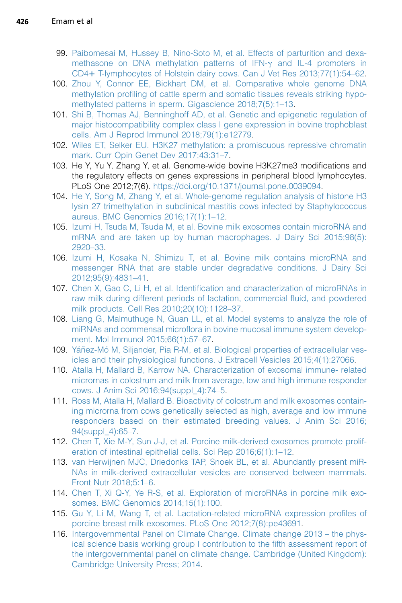- <span id="page-21-0"></span>99. [Paibomesai M, Hussey B, Nino-Soto M, et al. Effects of parturition and dexa](http://refhub.elsevier.com/S0749-0720(19)30024-6/sref100)[methasone on DNA methylation patterns of IFN-](http://refhub.elsevier.com/S0749-0720(19)30024-6/sref100) $\gamma$  and IL-4 promoters in CD4+ [T-lymphocytes of Holstein dairy cows. Can J Vet Res 2013;77\(1\):54–62.](http://refhub.elsevier.com/S0749-0720(19)30024-6/sref100)
- 100. [Zhou Y, Connor EE, Bickhart DM, et al. Comparative whole genome DNA](http://refhub.elsevier.com/S0749-0720(19)30024-6/sref101) [methylation profiling of cattle sperm and somatic tissues reveals striking hypo](http://refhub.elsevier.com/S0749-0720(19)30024-6/sref101)[methylated patterns in sperm. Gigascience 2018;7\(5\):1–13](http://refhub.elsevier.com/S0749-0720(19)30024-6/sref101).
- 101. [Shi B, Thomas AJ, Benninghoff AD, et al. Genetic and epigenetic regulation of](http://refhub.elsevier.com/S0749-0720(19)30024-6/sref102) [major histocompatibility complex class I gene expression in bovine trophoblast](http://refhub.elsevier.com/S0749-0720(19)30024-6/sref102) [cells. Am J Reprod Immunol 2018;79\(1\):e12779](http://refhub.elsevier.com/S0749-0720(19)30024-6/sref102).
- 102. [Wiles ET, Selker EU. H3K27 methylation: a promiscuous repressive chromatin](http://refhub.elsevier.com/S0749-0720(19)30024-6/sref103) [mark. Curr Opin Genet Dev 2017;43:31–7.](http://refhub.elsevier.com/S0749-0720(19)30024-6/sref103)
- 103. He Y, Yu Y, Zhang Y, et al. Genome-wide bovine H3K27me3 modifications and the regulatory effects on genes expressions in peripheral blood lymphocytes. PLoS One 2012;7(6). [https://doi.org/10.1371/journal.pone.0039094.](https://doi.org/10.1371/journal.pone.0039094)
- 104. [He Y, Song M, Zhang Y, et al. Whole-genome regulation analysis of histone H3](http://refhub.elsevier.com/S0749-0720(19)30024-6/sref105) [lysin 27 trimethylation in subclinical mastitis cows infected by Staphylococcus](http://refhub.elsevier.com/S0749-0720(19)30024-6/sref105) [aureus. BMC Genomics 2016;17\(1\):1–12.](http://refhub.elsevier.com/S0749-0720(19)30024-6/sref105)
- 105. [Izumi H, Tsuda M, Tsuda M, et al. Bovine milk exosomes contain microRNA and](http://refhub.elsevier.com/S0749-0720(19)30024-6/sref106) [mRNA and are taken up by human macrophages. J Dairy Sci 2015;98\(5\):](http://refhub.elsevier.com/S0749-0720(19)30024-6/sref106) [2920–33](http://refhub.elsevier.com/S0749-0720(19)30024-6/sref106).
- 106. [Izumi H, Kosaka N, Shimizu T, et al. Bovine milk contains microRNA and](http://refhub.elsevier.com/S0749-0720(19)30024-6/sref107) [messenger RNA that are stable under degradative conditions. J Dairy Sci](http://refhub.elsevier.com/S0749-0720(19)30024-6/sref107) [2012;95\(9\):4831–41](http://refhub.elsevier.com/S0749-0720(19)30024-6/sref107).
- 107. [Chen X, Gao C, Li H, et al. Identification and characterization of microRNAs in](http://refhub.elsevier.com/S0749-0720(19)30024-6/sref108) [raw milk during different periods of lactation, commercial fluid, and powdered](http://refhub.elsevier.com/S0749-0720(19)30024-6/sref108) [milk products. Cell Res 2010;20\(10\):1128–37.](http://refhub.elsevier.com/S0749-0720(19)30024-6/sref108)
- 108. [Liang G, Malmuthuge N, Guan LL, et al. Model systems to analyze the role of](http://refhub.elsevier.com/S0749-0720(19)30024-6/sref109) [miRNAs and commensal microflora in bovine mucosal immune system develop](http://refhub.elsevier.com/S0749-0720(19)30024-6/sref109)[ment. Mol Immunol 2015;66\(1\):57–67](http://refhub.elsevier.com/S0749-0720(19)30024-6/sref109).
- 109. Yáñez-Mó [M, Siljander, Pia R-M, et al. Biological properties of extracellular ves](http://refhub.elsevier.com/S0749-0720(19)30024-6/sref110)[icles and their physiological functions. J Extracell Vesicles 2015;4\(1\):27066.](http://refhub.elsevier.com/S0749-0720(19)30024-6/sref110)
- 110. [Atalla H, Mallard B, Karrow NA. Characterization of exosomal immune- related](http://refhub.elsevier.com/S0749-0720(19)30024-6/sref111) [micrornas in colostrum and milk from average, low and high immune responder](http://refhub.elsevier.com/S0749-0720(19)30024-6/sref111) [cows. J Anim Sci 2016;94\(suppl\\_4\):74–5.](http://refhub.elsevier.com/S0749-0720(19)30024-6/sref111)
- 111. [Ross M, Atalla H, Mallard B. Bioactivity of colostrum and milk exosomes contain](http://refhub.elsevier.com/S0749-0720(19)30024-6/sref112)[ing microrna from cows genetically selected as high, average and low immune](http://refhub.elsevier.com/S0749-0720(19)30024-6/sref112) [responders based on their estimated breeding values. J Anim Sci 2016;](http://refhub.elsevier.com/S0749-0720(19)30024-6/sref112) 94(suppl 4):65–7.
- 112. [Chen T, Xie M-Y, Sun J-J, et al. Porcine milk-derived exosomes promote prolif](http://refhub.elsevier.com/S0749-0720(19)30024-6/sref113)[eration of intestinal epithelial cells. Sci Rep 2016;6\(1\):1–12.](http://refhub.elsevier.com/S0749-0720(19)30024-6/sref113)
- 113. [van Herwijnen MJC, Driedonks TAP, Snoek BL, et al. Abundantly present miR-](http://refhub.elsevier.com/S0749-0720(19)30024-6/sref114)[NAs in milk-derived extracellular vesicles are conserved between mammals.](http://refhub.elsevier.com/S0749-0720(19)30024-6/sref114) [Front Nutr 2018;5:1–6.](http://refhub.elsevier.com/S0749-0720(19)30024-6/sref114)
- 114. [Chen T, Xi Q-Y, Ye R-S, et al. Exploration of microRNAs in porcine milk exo](http://refhub.elsevier.com/S0749-0720(19)30024-6/sref115)[somes. BMC Genomics 2014;15\(1\):100](http://refhub.elsevier.com/S0749-0720(19)30024-6/sref115).
- 115. [Gu Y, Li M, Wang T, et al. Lactation-related microRNA expression profiles of](http://refhub.elsevier.com/S0749-0720(19)30024-6/sref116) [porcine breast milk exosomes. PLoS One 2012;7\(8\):pe43691.](http://refhub.elsevier.com/S0749-0720(19)30024-6/sref116)
- 116. [Intergovernmental Panel on Climate Change. Climate change 2013 the phys](http://refhub.elsevier.com/S0749-0720(19)30024-6/sref117)[ical science basis working group I contribution to the fifth assessment report of](http://refhub.elsevier.com/S0749-0720(19)30024-6/sref117) [the intergovernmental panel on climate change. Cambridge \(United Kingdom\):](http://refhub.elsevier.com/S0749-0720(19)30024-6/sref117) [Cambridge University Press; 2014](http://refhub.elsevier.com/S0749-0720(19)30024-6/sref117).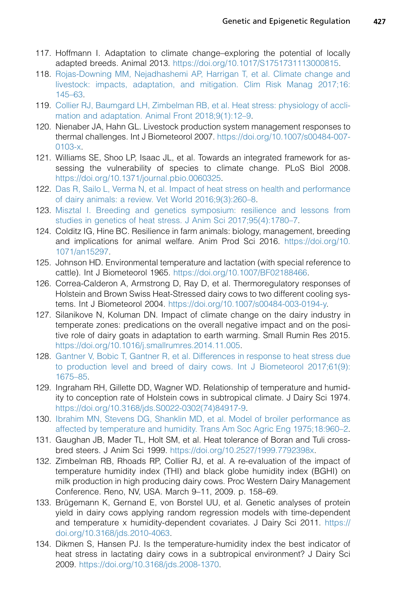- <span id="page-22-0"></span>117. Hoffmann I. Adaptation to climate change–exploring the potential of locally adapted breeds. Animal 2013. [https://doi.org/10.1017/S1751731113000815.](https://doi.org/10.1017/S1751731113000815)
- 118. [Rojas-Downing MM, Nejadhashemi AP, Harrigan T, et al. Climate change and](http://refhub.elsevier.com/S0749-0720(19)30024-6/sref119) [livestock: impacts, adaptation, and mitigation. Clim Risk Manag 2017;16:](http://refhub.elsevier.com/S0749-0720(19)30024-6/sref119) [145–63.](http://refhub.elsevier.com/S0749-0720(19)30024-6/sref119)
- 119. [Collier RJ, Baumgard LH, Zimbelman RB, et al. Heat stress: physiology of accli](http://refhub.elsevier.com/S0749-0720(19)30024-6/sref120)[mation and adaptation. Animal Front 2018;9\(1\):12–9.](http://refhub.elsevier.com/S0749-0720(19)30024-6/sref120)
- 120. Nienaber JA, Hahn GL. Livestock production system management responses to thermal challenges. Int J Biometeorol 2007. [https://doi.org/10.1007/s00484-007-](https://doi.org/10.1007/s00484-007-0103-x) [0103-x.](https://doi.org/10.1007/s00484-007-0103-x)
- 121. Williams SE, Shoo LP, Isaac JL, et al. Towards an integrated framework for assessing the vulnerability of species to climate change. PLoS Biol 2008. <https://doi.org/10.1371/journal.pbio.0060325>.
- 122. [Das R, Sailo L, Verma N, et al. Impact of heat stress on health and performance](http://refhub.elsevier.com/S0749-0720(19)30024-6/sref123) [of dairy animals: a review. Vet World 2016;9\(3\):260–8.](http://refhub.elsevier.com/S0749-0720(19)30024-6/sref123)
- 123. [Misztal I. Breeding and genetics symposium: resilience and lessons from](http://refhub.elsevier.com/S0749-0720(19)30024-6/sref124) [studies in genetics of heat stress. J Anim Sci 2017;95\(4\):1780–7.](http://refhub.elsevier.com/S0749-0720(19)30024-6/sref124)
- 124. Colditz IG, Hine BC. Resilience in farm animals: biology, management, breeding and implications for animal welfare. Anim Prod Sci 2016. [https://doi.org/10.](https://doi.org/10.1071/an15297) [1071/an15297.](https://doi.org/10.1071/an15297)
- 125. Johnson HD. Environmental temperature and lactation (with special reference to cattle). Int J Biometeorol 1965. <https://doi.org/10.1007/BF02188466>.
- 126. Correa-Calderon A, Armstrong D, Ray D, et al. Thermoregulatory responses of Holstein and Brown Swiss Heat-Stressed dairy cows to two different cooling systems. Int J Biometeorol 2004. [https://doi.org/10.1007/s00484-003-0194-y.](https://doi.org/10.1007/s00484-003-0194-y)
- 127. Silanikove N, Koluman DN. Impact of climate change on the dairy industry in temperate zones: predications on the overall negative impact and on the positive role of dairy goats in adaptation to earth warming. Small Rumin Res 2015. <https://doi.org/10.1016/j.smallrumres.2014.11.005>.
- 128. [Gantner V, Bobic T, Gantner R, et al. Differences in response to heat stress due](http://refhub.elsevier.com/S0749-0720(19)30024-6/sref129) [to production level and breed of dairy cows. Int J Biometeorol 2017;61\(9\):](http://refhub.elsevier.com/S0749-0720(19)30024-6/sref129) [1675–85.](http://refhub.elsevier.com/S0749-0720(19)30024-6/sref129)
- 129. Ingraham RH, Gillette DD, Wagner WD. Relationship of temperature and humidity to conception rate of Holstein cows in subtropical climate. J Dairy Sci 1974. [https://doi.org/10.3168/jds.S0022-0302\(74\)84917-9](https://doi.org/10.3168/jds.S0022-0302(74)84917-9).
- 130. [Ibrahim MN, Stevens DG, Shanklin MD, et al. Model of broiler performance as](http://refhub.elsevier.com/S0749-0720(19)30024-6/sref131) [affected by temperature and humidity. Trans Am Soc Agric Eng 1975;18:960–2](http://refhub.elsevier.com/S0749-0720(19)30024-6/sref131).
- 131. Gaughan JB, Mader TL, Holt SM, et al. Heat tolerance of Boran and Tuli crossbred steers. J Anim Sci 1999. [https://doi.org/10.2527/1999.7792398x.](https://doi.org/10.2527/1999.7792398x)
- 132. Zimbelman RB, Rhoads RP, Collier RJ, et al. A re-evaluation of the impact of temperature humidity index (THI) and black globe humidity index (BGHI) on milk production in high producing dairy cows. Proc Western Dairy Management Conference. Reno, NV, USA. March 9–11, 2009. p. 158–69.
- 133. Brügemann K, Gernand E, von Borstel UU, et al. Genetic analyses of protein yield in dairy cows applying random regression models with time-dependent and temperature x humidity-dependent covariates. J Dairy Sci 2011. [https://](https://doi.org/10.3168/jds.2010-4063) [doi.org/10.3168/jds.2010-4063](https://doi.org/10.3168/jds.2010-4063).
- 134. Dikmen S, Hansen PJ. Is the temperature-humidity index the best indicator of heat stress in lactating dairy cows in a subtropical environment? J Dairy Sci 2009. <https://doi.org/10.3168/jds.2008-1370>.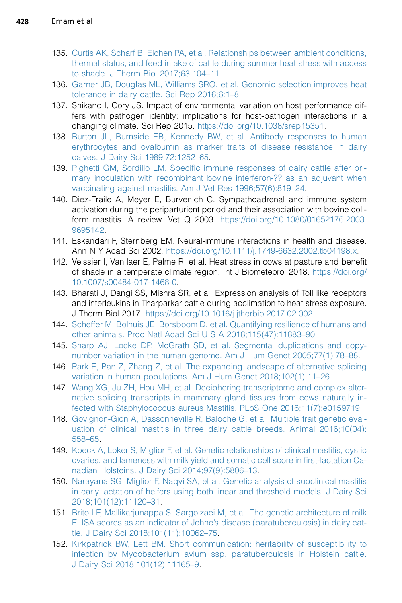- <span id="page-23-0"></span>135. [Curtis AK, Scharf B, Eichen PA, et al. Relationships between ambient conditions,](http://refhub.elsevier.com/S0749-0720(19)30024-6/sref136) [thermal status, and feed intake of cattle during summer heat stress with access](http://refhub.elsevier.com/S0749-0720(19)30024-6/sref136) [to shade. J Therm Biol 2017;63:104–11.](http://refhub.elsevier.com/S0749-0720(19)30024-6/sref136)
- 136. [Garner JB, Douglas ML, Williams SRO, et al. Genomic selection improves heat](http://refhub.elsevier.com/S0749-0720(19)30024-6/sref137) [tolerance in dairy cattle. Sci Rep 2016;6:1–8.](http://refhub.elsevier.com/S0749-0720(19)30024-6/sref137)
- 137. Shikano I, Cory JS. Impact of environmental variation on host performance differs with pathogen identity: implications for host-pathogen interactions in a changing climate. Sci Rep 2015. <https://doi.org/10.1038/srep15351>.
- 138. [Burton JL, Burnside EB, Kennedy BW, et al. Antibody responses to human](http://refhub.elsevier.com/S0749-0720(19)30024-6/sref139) [erythrocytes and ovalbumin as marker traits of disease resistance in dairy](http://refhub.elsevier.com/S0749-0720(19)30024-6/sref139) [calves. J Dairy Sci 1989;72:1252–65](http://refhub.elsevier.com/S0749-0720(19)30024-6/sref139).
- 139. [Pighetti GM, Sordillo LM. Specific immune responses of dairy cattle after pri](http://refhub.elsevier.com/S0749-0720(19)30024-6/sref140)[mary inoculation with recombinant bovine interferon-?? as an adjuvant when](http://refhub.elsevier.com/S0749-0720(19)30024-6/sref140) [vaccinating against mastitis. Am J Vet Res 1996;57\(6\):819–24](http://refhub.elsevier.com/S0749-0720(19)30024-6/sref140).
- 140. Diez-Fraile A, Meyer E, Burvenich C. Sympathoadrenal and immune system activation during the periparturient period and their association with bovine coliform mastitis. A review. Vet Q 2003. [https://doi.org/10.1080/01652176.2003.](https://doi.org/10.1080/01652176.2003.9695142) [9695142.](https://doi.org/10.1080/01652176.2003.9695142)
- 141. Eskandari F, Sternberg EM. Neural-immune interactions in health and disease. Ann N Y Acad Sci 2002. <https://doi.org/10.1111/j.1749-6632.2002.tb04198.x>.
- 142. Veissier I, Van laer E, Palme R, et al. Heat stress in cows at pasture and benefit of shade in a temperate climate region. Int J Biometeorol 2018. [https://doi.org/](https://doi.org/10.1007/s00484-017-1468-0) [10.1007/s00484-017-1468-0.](https://doi.org/10.1007/s00484-017-1468-0)
- 143. Bharati J, Dangi SS, Mishra SR, et al. Expression analysis of Toll like receptors and interleukins in Tharparkar cattle during acclimation to heat stress exposure. J Therm Biol 2017. [https://doi.org/10.1016/j.jtherbio.2017.02.002.](https://doi.org/10.1016/j.jtherbio.2017.02.002)
- 144. [Scheffer M, Bolhuis JE, Borsboom D, et al. Quantifying resilience of humans and](http://refhub.elsevier.com/S0749-0720(19)30024-6/sref145) [other animals. Proc Natl Acad Sci U S A 2018;115\(47\):11883–90](http://refhub.elsevier.com/S0749-0720(19)30024-6/sref145).
- 145. [Sharp AJ, Locke DP, McGrath SD, et al. Segmental duplications and copy](http://refhub.elsevier.com/S0749-0720(19)30024-6/sref146)[number variation in the human genome. Am J Hum Genet 2005;77\(1\):78–88.](http://refhub.elsevier.com/S0749-0720(19)30024-6/sref146)
- 146. [Park E, Pan Z, Zhang Z, et al. The expanding landscape of alternative splicing](http://refhub.elsevier.com/S0749-0720(19)30024-6/sref147) [variation in human populations. Am J Hum Genet 2018;102\(1\):11–26](http://refhub.elsevier.com/S0749-0720(19)30024-6/sref147).
- 147. [Wang XG, Ju ZH, Hou MH, et al. Deciphering transcriptome and complex alter](http://refhub.elsevier.com/S0749-0720(19)30024-6/sref148)[native splicing transcripts in mammary gland tissues from cows naturally in](http://refhub.elsevier.com/S0749-0720(19)30024-6/sref148)[fected with Staphylococcus aureus Mastitis. PLoS One 2016;11\(7\):e0159719.](http://refhub.elsevier.com/S0749-0720(19)30024-6/sref148)
- 148. [Govignon-Gion A, Dassonneville R, Baloche G, et al. Multiple trait genetic eval](http://refhub.elsevier.com/S0749-0720(19)30024-6/sref149)[uation of clinical mastitis in three dairy cattle breeds. Animal 2016;10\(04\):](http://refhub.elsevier.com/S0749-0720(19)30024-6/sref149) [558–65.](http://refhub.elsevier.com/S0749-0720(19)30024-6/sref149)
- 149. [Koeck A, Loker S, Miglior F, et al. Genetic relationships of clinical mastitis, cystic](http://refhub.elsevier.com/S0749-0720(19)30024-6/sref150) [ovaries, and lameness with milk yield and somatic cell score in first-lactation Ca](http://refhub.elsevier.com/S0749-0720(19)30024-6/sref150)[nadian Holsteins. J Dairy Sci 2014;97\(9\):5806–13](http://refhub.elsevier.com/S0749-0720(19)30024-6/sref150).
- 150. [Narayana SG, Miglior F, Naqvi SA, et al. Genetic analysis of subclinical mastitis](http://refhub.elsevier.com/S0749-0720(19)30024-6/sref151) [in early lactation of heifers using both linear and threshold models. J Dairy Sci](http://refhub.elsevier.com/S0749-0720(19)30024-6/sref151) [2018;101\(12\):11120–31](http://refhub.elsevier.com/S0749-0720(19)30024-6/sref151).
- 151. [Brito LF, Mallikarjunappa S, Sargolzaei M, et al. The genetic architecture of milk](http://refhub.elsevier.com/S0749-0720(19)30024-6/sref152) [ELISA scores as an indicator of Johne's disease \(paratuberculosis\) in dairy cat](http://refhub.elsevier.com/S0749-0720(19)30024-6/sref152)[tle. J Dairy Sci 2018;101\(11\):10062–75.](http://refhub.elsevier.com/S0749-0720(19)30024-6/sref152)
- 152. [Kirkpatrick BW, Lett BM. Short communication: heritability of susceptibility to](http://refhub.elsevier.com/S0749-0720(19)30024-6/sref153) [infection by Mycobacterium avium ssp. paratuberculosis in Holstein cattle.](http://refhub.elsevier.com/S0749-0720(19)30024-6/sref153) [J Dairy Sci 2018;101\(12\):11165–9.](http://refhub.elsevier.com/S0749-0720(19)30024-6/sref153)